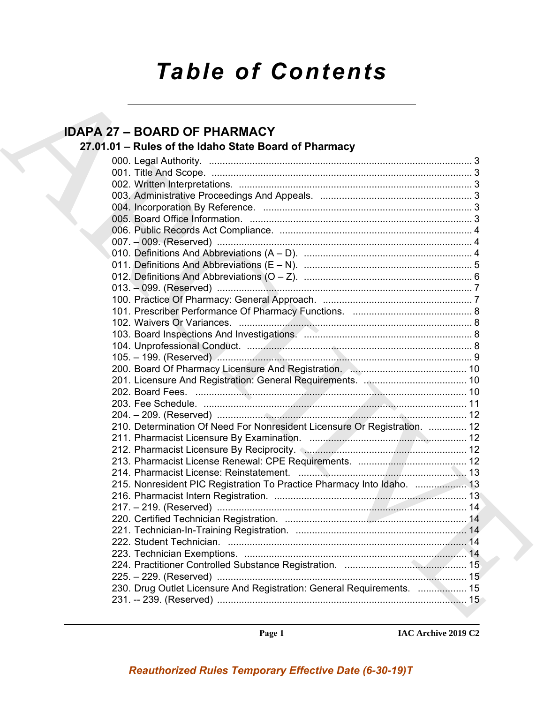### *Table of Contents*

### **IDAPA 27 – BOARD OF PHARMACY**

### **27.01.01 – Rules of the Idaho State Board of Pharmacy**

| <b>IDAPA 27 - BOARD OF PHARMACY</b>                                       |
|---------------------------------------------------------------------------|
| 27.01.01 - Rules of the Idaho State Board of Pharmacy                     |
|                                                                           |
|                                                                           |
|                                                                           |
|                                                                           |
|                                                                           |
|                                                                           |
|                                                                           |
|                                                                           |
|                                                                           |
|                                                                           |
|                                                                           |
|                                                                           |
|                                                                           |
|                                                                           |
|                                                                           |
|                                                                           |
|                                                                           |
|                                                                           |
|                                                                           |
|                                                                           |
|                                                                           |
|                                                                           |
|                                                                           |
| 210. Determination Of Need For Nonresident Licensure Or Registration.  12 |
|                                                                           |
|                                                                           |
|                                                                           |
|                                                                           |
| 215. Nonresident PIC Registration To Practice Pharmacy Into Idaho.  13    |
|                                                                           |
|                                                                           |
|                                                                           |
|                                                                           |
|                                                                           |
|                                                                           |
|                                                                           |
| 225. – 229. (Reserved) ………………………………………………………………………………… 15                 |
| 230. Drug Outlet Licensure And Registration: General Requirements.  15    |
|                                                                           |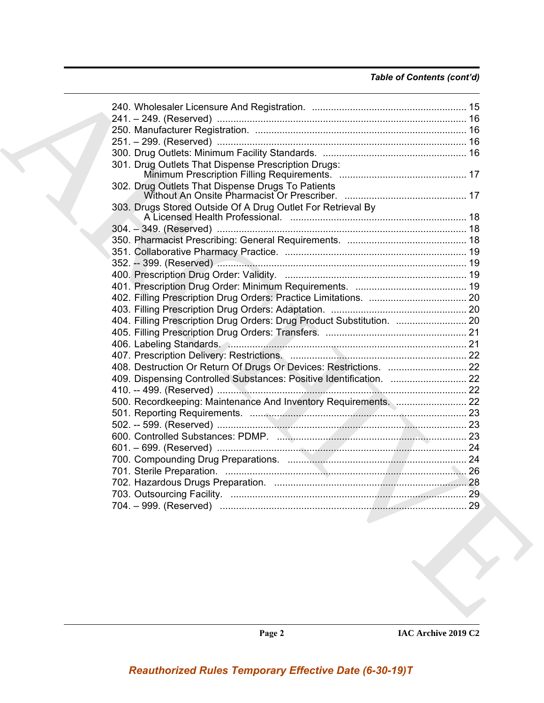### *Table of Contents (cont'd)*

| 301. Drug Outlets That Dispense Prescription Drugs:                   |  |
|-----------------------------------------------------------------------|--|
| 302. Drug Outlets That Dispense Drugs To Patients                     |  |
| 303. Drugs Stored Outside Of A Drug Outlet For Retrieval By           |  |
|                                                                       |  |
|                                                                       |  |
|                                                                       |  |
|                                                                       |  |
|                                                                       |  |
|                                                                       |  |
|                                                                       |  |
|                                                                       |  |
| 404. Filling Prescription Drug Orders: Drug Product Substitution.  20 |  |
|                                                                       |  |
|                                                                       |  |
|                                                                       |  |
|                                                                       |  |
| 409. Dispensing Controlled Substances: Positive Identification.  22   |  |
|                                                                       |  |
|                                                                       |  |
|                                                                       |  |
|                                                                       |  |
|                                                                       |  |
|                                                                       |  |
|                                                                       |  |
|                                                                       |  |
|                                                                       |  |
|                                                                       |  |
|                                                                       |  |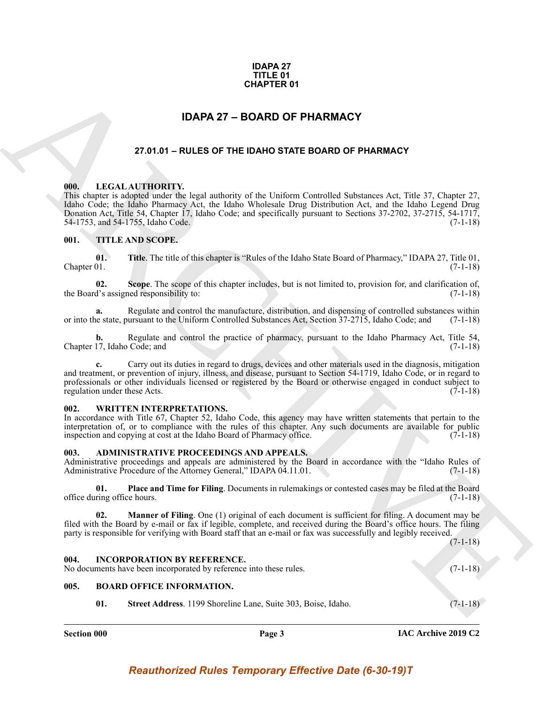### **IDAPA 27 TITLE 01 CHAPTER 01**

### **IDAPA 27 – BOARD OF PHARMACY**

### **27.01.01 – RULES OF THE IDAHO STATE BOARD OF PHARMACY**

### <span id="page-2-11"></span><span id="page-2-2"></span><span id="page-2-1"></span>**000. LEGAL AUTHORITY.**

<span id="page-2-0"></span>**CHAPTER 01**<br>
27.81.61 - RULES OF THE IDANO STATE BOARD OF PHARMACY<br>
27.81.61 - RULES OF THE IDANO STATE BOARD OF PHARMACY<br>
27.81.61 - RULES OF THE IDANO STATE BOARD OF PHARMACY<br>
100.<br>
100. LEGAL AUTIORITY:<br>
100. LEGAL AU This chapter is adopted under the legal authority of the Uniform Controlled Substances Act, Title 37, Chapter 27, Idaho Code; the Idaho Pharmacy Act, the Idaho Wholesale Drug Distribution Act, and the Idaho Legend Drug Donation Act, Title 54, Chapter 17, Idaho Code; and specifically pursuant to Sections 37-2702, 37-2715, 54-1717, 54-1753, and 54-1755, Idaho Code. (7-1-18)

### <span id="page-2-12"></span><span id="page-2-3"></span>**001. TITLE AND SCOPE.**

**01. Title**. The title of this chapter is "Rules of the Idaho State Board of Pharmacy," IDAPA 27, Title 01,  $\blacksquare$  Chapter 01. (7-1-18)

**02.** Scope. The scope of this chapter includes, but is not limited to, provision for, and clarification of, d's assigned responsibility to: (7-1-18) the Board's assigned responsibility to:

**a.** Regulate and control the manufacture, distribution, and dispensing of controlled substances within or into the state, pursuant to the Uniform Controlled Substances Act, Section 37-2715, Idaho Code; and (7-1-18)

**b.** Regulate and control the practice of pharmacy, pursuant to the Idaho Pharmacy Act, Title 54, 17, Idaho Code; and (7-1-18) Chapter 17, Idaho Code; and

**c.** Carry out its duties in regard to drugs, devices and other materials used in the diagnosis, mitigation and treatment, or prevention of injury, illness, and disease, pursuant to Section 54-1719, Idaho Code, or in regard to professionals or other individuals licensed or registered by the Board or otherwise engaged in conduct subject to regulation under these Acts. (7-1-18)

#### <span id="page-2-13"></span><span id="page-2-4"></span>**002. WRITTEN INTERPRETATIONS.**

In accordance with Title 67, Chapter 52, Idaho Code, this agency may have written statements that pertain to the interpretation of, or to compliance with the rules of this chapter. Any such documents are available for public inspection and copying at cost at the Idaho Board of Pharmacy office. (7-1-18)

#### <span id="page-2-8"></span><span id="page-2-5"></span>**003. ADMINISTRATIVE PROCEEDINGS AND APPEALS.**

Administrative proceedings and appeals are administered by the Board in accordance with the "Idaho Rules of Administrative Procedure of the Attorney General," IDAPA 04.11.01. (7-1-18)

**01. Place and Time for Filing**. Documents in rulemakings or contested cases may be filed at the Board office during office hours.  $(7-1-18)$ 

**02. Manner of Filing**. One (1) original of each document is sufficient for filing. A document may be filed with the Board by e-mail or fax if legible, complete, and received during the Board's office hours. The filing party is responsible for verifying with Board staff that an e-mail or fax was successfully and legibly received.

(7-1-18)

### <span id="page-2-10"></span><span id="page-2-6"></span>**004. INCORPORATION BY REFERENCE.**

No documents have been incorporated by reference into these rules. (7-1-18)

### <span id="page-2-7"></span>**005. BOARD OFFICE INFORMATION.**

<span id="page-2-9"></span>**01. Street Address**. 1199 Shoreline Lane, Suite 303, Boise, Idaho. (7-1-18)

**Section 000 Page 3**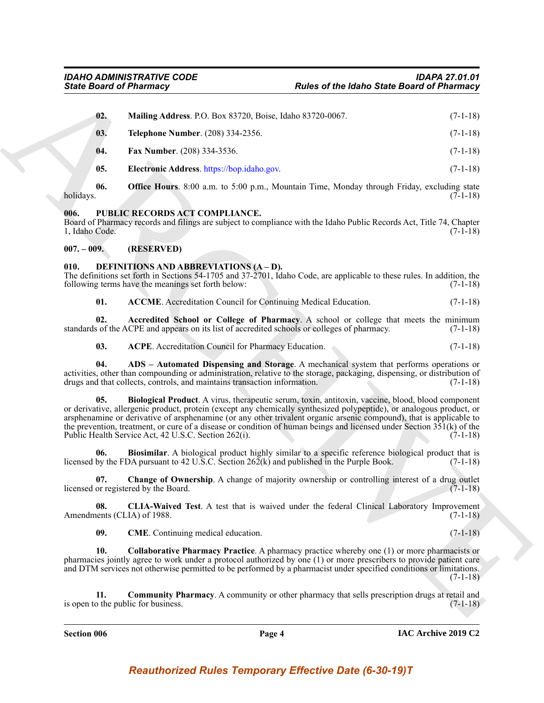|                        | <b>State Board of Pharmacy</b>                                                               | <b>Rules of the Idaho State Board of Pharmacy</b>                                                                                                                                                                                                                                                                                                                                                                                                                           |            |
|------------------------|----------------------------------------------------------------------------------------------|-----------------------------------------------------------------------------------------------------------------------------------------------------------------------------------------------------------------------------------------------------------------------------------------------------------------------------------------------------------------------------------------------------------------------------------------------------------------------------|------------|
| 02.                    | Mailing Address. P.O. Box 83720, Boise, Idaho 83720-0067.                                    |                                                                                                                                                                                                                                                                                                                                                                                                                                                                             | $(7-1-18)$ |
| 03.                    | Telephone Number. (208) 334-2356.                                                            |                                                                                                                                                                                                                                                                                                                                                                                                                                                                             | $(7-1-18)$ |
| 04.                    | Fax Number. (208) 334-3536.                                                                  |                                                                                                                                                                                                                                                                                                                                                                                                                                                                             | $(7-1-18)$ |
| 05.                    | Electronic Address. https://bop.idaho.gov.                                                   |                                                                                                                                                                                                                                                                                                                                                                                                                                                                             | $(7-1-18)$ |
| 06.<br>holidays.       |                                                                                              | <b>Office Hours.</b> 8:00 a.m. to 5:00 p.m., Mountain Time, Monday through Friday, excluding state                                                                                                                                                                                                                                                                                                                                                                          | $(7-1-18)$ |
| 006.<br>1, Idaho Code. | PUBLIC RECORDS ACT COMPLIANCE.                                                               | Board of Pharmacy records and filings are subject to compliance with the Idaho Public Records Act, Title 74, Chapter                                                                                                                                                                                                                                                                                                                                                        | $(7-1-18)$ |
| $007. - 009.$          | (RESERVED)                                                                                   |                                                                                                                                                                                                                                                                                                                                                                                                                                                                             |            |
| 010.                   | DEFINITIONS AND ABBREVIATIONS (A-D).<br>following terms have the meanings set forth below:   | The definitions set forth in Sections 54-1705 and 37-2701, Idaho Code, are applicable to these rules. In addition, the                                                                                                                                                                                                                                                                                                                                                      | $(7-1-18)$ |
| 01.                    | <b>ACCME</b> . Accreditation Council for Continuing Medical Education.                       |                                                                                                                                                                                                                                                                                                                                                                                                                                                                             | $(7-1-18)$ |
| 02.                    | standards of the ACPE and appears on its list of accredited schools or colleges of pharmacy. | Accredited School or College of Pharmacy. A school or college that meets the minimum                                                                                                                                                                                                                                                                                                                                                                                        | $(7-1-18)$ |
| 03.                    | ACPE. Accreditation Council for Pharmacy Education.                                          |                                                                                                                                                                                                                                                                                                                                                                                                                                                                             | $(7-1-18)$ |
| 04.                    | drugs and that collects, controls, and maintains transaction information.                    | ADS - Automated Dispensing and Storage. A mechanical system that performs operations or<br>activities, other than compounding or administration, relative to the storage, packaging, dispensing, or distribution of                                                                                                                                                                                                                                                         | $(7-1-18)$ |
| 05.                    | Public Health Service Act, 42 U.S.C. Section 262(i).                                         | Biological Product. A virus, therapeutic serum, toxin, antitoxin, vaccine, blood, blood component<br>or derivative, allergenic product, protein (except any chemically synthesized polypeptide), or analogous product, or<br>arsphenamine or derivative of arsphenamine (or any other trivalent organic arsenic compound), that is applicable to<br>the prevention, treatment, or cure of a disease or condition of human beings and licensed under Section $351(k)$ of the | $(7-1-18)$ |
| 06.                    | licensed by the FDA pursuant to 42 U.S.C. Section $262(k)$ and published in the Purple Book. | Biosimilar. A biological product highly similar to a specific reference biological product that is                                                                                                                                                                                                                                                                                                                                                                          | $(7-1-18)$ |
| 07.                    | licensed or registered by the Board.                                                         | Change of Ownership. A change of majority ownership or controlling interest of a drug outlet                                                                                                                                                                                                                                                                                                                                                                                | $(7-1-18)$ |
| 08.                    | Amendments (CLIA) of 1988.                                                                   | CLIA-Waived Test. A test that is waived under the federal Clinical Laboratory Improvement                                                                                                                                                                                                                                                                                                                                                                                   | $(7-1-18)$ |
| 09.                    | CME. Continuing medical education.                                                           |                                                                                                                                                                                                                                                                                                                                                                                                                                                                             | $(7-1-18)$ |
| 10.                    |                                                                                              | <b>Collaborative Pharmacy Practice.</b> A pharmacy practice whereby one (1) or more pharmacists or<br>pharmacies jointly agree to work under a protocol authorized by one (1) or more prescribers to provide patient care<br>and DTM services not otherwise permitted to be performed by a pharmacist under specified conditions or limitations.                                                                                                                            | $(7-1-18)$ |
| 11.                    |                                                                                              | Community Pharmacy. A community or other pharmacy that sells prescription drugs at retail and                                                                                                                                                                                                                                                                                                                                                                               |            |

#### <span id="page-3-15"></span><span id="page-3-0"></span>**006. PUBLIC RECORDS ACT COMPLIANCE.**

### <span id="page-3-1"></span>**007. – 009. (RESERVED)**

#### <span id="page-3-9"></span><span id="page-3-8"></span><span id="page-3-7"></span><span id="page-3-6"></span><span id="page-3-5"></span><span id="page-3-4"></span><span id="page-3-3"></span><span id="page-3-2"></span>**010. DEFINITIONS AND ABBREVIATIONS (A – D).**

<span id="page-3-14"></span><span id="page-3-13"></span><span id="page-3-12"></span><span id="page-3-11"></span><span id="page-3-10"></span>**Section 006 Page 4**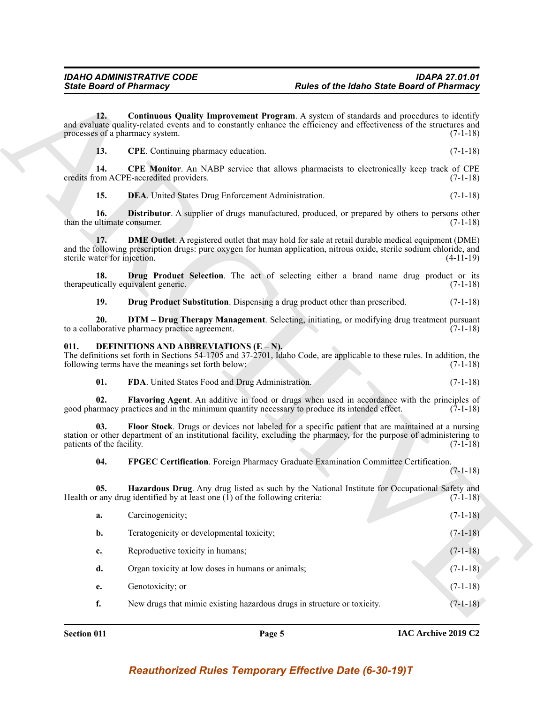#### <span id="page-4-15"></span><span id="page-4-14"></span><span id="page-4-13"></span><span id="page-4-12"></span><span id="page-4-11"></span><span id="page-4-10"></span><span id="page-4-9"></span><span id="page-4-8"></span><span id="page-4-7"></span><span id="page-4-6"></span><span id="page-4-5"></span><span id="page-4-0"></span>**011. DEFINITIONS AND ABBREVIATIONS (E – N).**

<span id="page-4-4"></span><span id="page-4-3"></span><span id="page-4-2"></span><span id="page-4-1"></span>

|                                     | <b>State Board of Pharmacy</b>                                                               | <b>Rules of the Idaho State Board of Pharmacy</b>                                                                                                                                                                                |             |
|-------------------------------------|----------------------------------------------------------------------------------------------|----------------------------------------------------------------------------------------------------------------------------------------------------------------------------------------------------------------------------------|-------------|
| 12.                                 | processes of a pharmacy system.                                                              | Continuous Quality Improvement Program. A system of standards and procedures to identify<br>and evaluate quality-related events and to constantly enhance the efficiency and effectiveness of the structures and                 | $(7-1-18)$  |
| 13.                                 | CPE. Continuing pharmacy education.                                                          |                                                                                                                                                                                                                                  | $(7-1-18)$  |
| 14.                                 | credits from ACPE-accredited providers.                                                      | <b>CPE Monitor.</b> An NABP service that allows pharmacists to electronically keep track of CPE                                                                                                                                  | $(7-1-18)$  |
| 15.                                 | DEA. United States Drug Enforcement Administration.                                          |                                                                                                                                                                                                                                  | $(7-1-18)$  |
| 16.<br>than the ultimate consumer.  |                                                                                              | <b>Distributor.</b> A supplier of drugs manufactured, produced, or prepared by others to persons other                                                                                                                           | $(7-1-18)$  |
| 17.<br>sterile water for injection. |                                                                                              | <b>DME Outlet</b> . A registered outlet that may hold for sale at retail durable medical equipment (DME)<br>and the following prescription drugs: pure oxygen for human application, nitrous oxide, sterile sodium chloride, and | $(4-11-19)$ |
| 18.                                 | therapeutically equivalent generic.                                                          | Drug Product Selection. The act of selecting either a brand name drug product or its                                                                                                                                             | $(7-1-18)$  |
| 19.                                 |                                                                                              | Drug Product Substitution. Dispensing a drug product other than prescribed.                                                                                                                                                      | $(7-1-18)$  |
| 20.                                 | to a collaborative pharmacy practice agreement.                                              | DTM - Drug Therapy Management. Selecting, initiating, or modifying drug treatment pursuant                                                                                                                                       | $(7-1-18)$  |
| 011.                                | DEFINITIONS AND ABBREVIATIONS (E – N).<br>following terms have the meanings set forth below: | The definitions set forth in Sections 54-1705 and 37-2701, Idaho Code, are applicable to these rules. In addition, the                                                                                                           | $(7-1-18)$  |
| 01.                                 | FDA. United States Food and Drug Administration.                                             |                                                                                                                                                                                                                                  | $(7-1-18)$  |
| 02.                                 |                                                                                              | Flavoring Agent. An additive in food or drugs when used in accordance with the principles of<br>good pharmacy practices and in the minimum quantity necessary to produce its intended effect.                                    | $(7-1-18)$  |
| 03.<br>patients of the facility.    |                                                                                              | Floor Stock. Drugs or devices not labeled for a specific patient that are maintained at a nursing<br>station or other department of an institutional facility, excluding the pharmacy, for the purpose of administering to       | $(7-1-18)$  |
| 04.                                 |                                                                                              | FPGEC Certification. Foreign Pharmacy Graduate Examination Committee Certification.                                                                                                                                              | $(7-1-18)$  |
| 05.                                 | Health or any drug identified by at least one $(I)$ of the following criteria:               | Hazardous Drug. Any drug listed as such by the National Institute for Occupational Safety and                                                                                                                                    | $(7-1-18)$  |
| a.                                  | Carcinogenicity;                                                                             |                                                                                                                                                                                                                                  | $(7-1-18)$  |
| b.                                  | Teratogenicity or developmental toxicity;                                                    |                                                                                                                                                                                                                                  | $(7-1-18)$  |
| c.                                  | Reproductive toxicity in humans;                                                             |                                                                                                                                                                                                                                  | $(7-1-18)$  |
| d.                                  | Organ toxicity at low doses in humans or animals;                                            |                                                                                                                                                                                                                                  | $(7-1-18)$  |
| e.                                  | Genotoxicity; or                                                                             |                                                                                                                                                                                                                                  | $(7-1-18)$  |
| f.                                  |                                                                                              | New drugs that mimic existing hazardous drugs in structure or toxicity.                                                                                                                                                          | $(7-1-18)$  |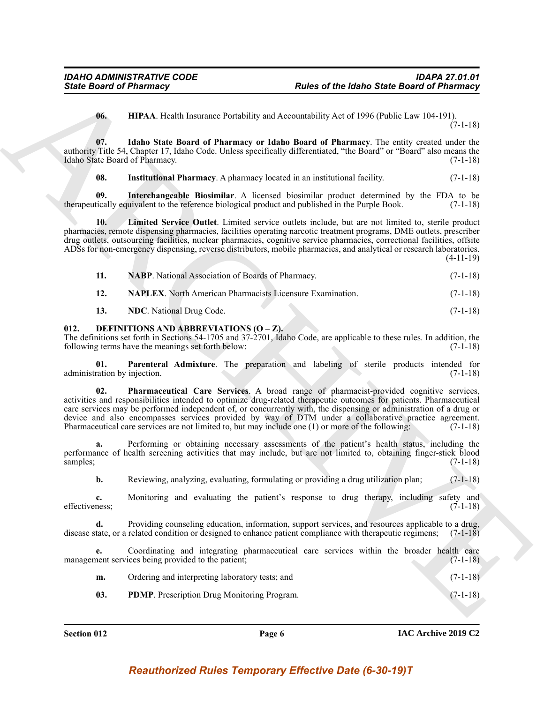<span id="page-5-2"></span><span id="page-5-1"></span>**06. HIPAA**. Health Insurance Portability and Accountability Act of 1996 (Public Law 104-191). (7-1-18)

**07. Idaho State Board of Pharmacy or Idaho Board of Pharmacy**. The entity created under the authority Title 54, Chapter 17, Idaho Code. Unless specifically differentiated, "the Board" or "Board" also means the Idaho State Board of Pharmacy.

<span id="page-5-5"></span><span id="page-5-4"></span><span id="page-5-3"></span>**08.** Institutional Pharmacy. A pharmacy located in an institutional facility. (7-1-18)

**09. Interchangeable Biosimilar**. A licensed biosimilar product determined by the FDA to be therapeutically equivalent to the reference biological product and published in the Purple Book. (7-1-18)

**10. Limited Service Outlet**. Limited service outlets include, but are not limited to, sterile product pharmacies, remote dispensing pharmacies, facilities operating narcotic treatment programs, DME outlets, prescriber drug outlets, outsourcing facilities, nuclear pharmacies, cognitive service pharmacies, correctional facilities, offsite ADSs for non-emergency dispensing, reverse distributors, mobile pharmacies, and analytical or research laboratories. (4-11-19)

<span id="page-5-7"></span><span id="page-5-6"></span>

|     | <b>NABP.</b> National Association of Boards of Pharmacy.         | $(7-1-18)$ |
|-----|------------------------------------------------------------------|------------|
| 12. | <b>NAPLEX.</b> North American Pharmacists Licensure Examination. | $(7-1-18)$ |

<span id="page-5-10"></span><span id="page-5-9"></span><span id="page-5-8"></span>**13. NDC**. National Drug Code. (7-1-18)

#### <span id="page-5-0"></span>**012. DEFINITIONS AND ABBREVIATIONS (O – Z).**

The definitions set forth in Sections 54-1705 and 37-2701, Idaho Code, are applicable to these rules. In addition, the following terms have the meanings set forth below: (7-1-18) following terms have the meanings set forth below:

<span id="page-5-12"></span>**01. Parenteral Admixture**. The preparation and labeling of sterile products intended for ration by injection. (7-1-18) administration by injection.

Since Board of Phismney<br>
16. ILIAA Heidis Issueme Protection and Marchims (and Marchims 16: 1938) (bolis Law 10: 1938)<br>
16. ILIAA Heidis Sustainer of Phismney Heidis Basel and the University Act of 1936 (Polis Law 10: 193 **02. Pharmaceutical Care Services**. A broad range of pharmacist-provided cognitive services, activities and responsibilities intended to optimize drug-related therapeutic outcomes for patients. Pharmaceutical care services may be performed independent of, or concurrently with, the dispensing or administration of a drug or device and also encompasses services provided by way of DTM under a collaborative practice agreement. Pharmaceutical care services are not limited to, but may include one (1) or more of the following: (7-1-18)

Performing or obtaining necessary assessments of the patient's health status, including the performance of health screening activities that may include, but are not limited to, obtaining finger-stick blood samples; (7-1-18)

**b.** Reviewing, analyzing, evaluating, formulating or providing a drug utilization plan; (7-1-18)

**c.** Monitoring and evaluating the patient's response to drug therapy, including safety and effectiveness: (7-1-18) effectiveness; (7-1-18)

**d.** Providing counseling education, information, support services, and resources applicable to a drug, disease state, or a related condition or designed to enhance patient compliance with therapeutic regimens; (7-1-18)

**e.** Coordinating and integrating pharmaceutical care services within the broader health care management services being provided to the patient; (7-1-18)

| m. | Ordering and interpreting laboratory tests; and | $(7-1-18)$ |
|----|-------------------------------------------------|------------|
|    |                                                 |            |

<span id="page-5-11"></span>**03. PDMP**. Prescription Drug Monitoring Program. (7-1-18)

**Section 012 Page 6**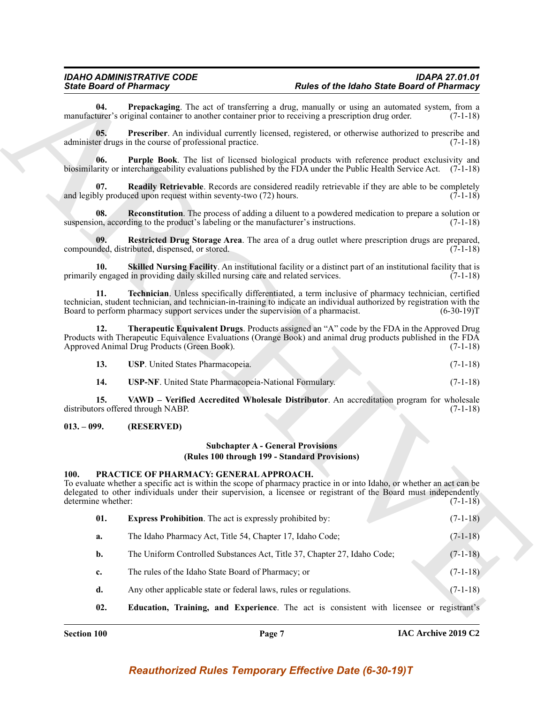### *IDAHO ADMINISTRATIVE CODE IDAPA 27.01.01*

<span id="page-6-2"></span>**04. Prepackaging**. The act of transferring a drug, manually or using an automated system, from a turer's original container to another container prior to receiving a prescription drug order. (7-1-18) manufacturer's original container to another container prior to receiving a prescription drug order.

<span id="page-6-3"></span>**05. Prescriber**. An individual currently licensed, registered, or otherwise authorized to prescribe and administer drugs in the course of professional practice. (7-1-18)

<span id="page-6-4"></span>**06. Purple Book**. The list of licensed biological products with reference product exclusivity and biosimilarity or interchangeability evaluations published by the FDA under the Public Health Service Act. (7-1-18)

<span id="page-6-5"></span>**Readily Retrievable**. Records are considered readily retrievable if they are able to be completely and legibly produced upon request within seventy-two  $(72)$  hours. (7-1-18)

<span id="page-6-6"></span>**08. Reconstitution**. The process of adding a diluent to a powdered medication to prepare a solution or suspension, according to the product's labeling or the manufacturer's instructions. (7-1-18)

<span id="page-6-7"></span>**09.** Restricted Drug Storage Area. The area of a drug outlet where prescription drugs are prepared, deed, distributed, dispensed, or stored. (7-1-18) compounded, distributed, dispensed, or stored.

<span id="page-6-8"></span>**10. Skilled Nursing Facility**. An institutional facility or a distinct part of an institutional facility that is primarily engaged in providing daily skilled nursing care and related services. (7-1-18)

<span id="page-6-9"></span>**11. Technician**. Unless specifically differentiated, a term inclusive of pharmacy technician, certified technician, student technician, and technician-in-training to indicate an individual authorized by registration with the Board to perform pharmacy support services under the supervision of a pharmacist. (6-30-19)T

**12. Therapeutic Equivalent Drugs**. Products assigned an "A" code by the FDA in the Approved Drug Products with Therapeutic Equivalence Evaluations (Orange Book) and animal drug products published in the FDA Approved Animal Drug Products (Green Book). (7-1-18)

<span id="page-6-11"></span><span id="page-6-10"></span>

| 13. | <b>USP.</b> United States Pharmacopeia. |  |  |
|-----|-----------------------------------------|--|--|
|-----|-----------------------------------------|--|--|

<span id="page-6-13"></span><span id="page-6-12"></span>**14. USP-NF**. United State Pharmacopeia-National Formulary. (7-1-18)

**15. VAWD – Verified Accredited Wholesale Distributor**. An accreditation program for wholesale prospected through NABP. (7-1-18) distributors offered through NABP.

### <span id="page-6-0"></span>**013. – 099. (RESERVED)**

### **Subchapter A - General Provisions (Rules 100 through 199 - Standard Provisions)**

### <span id="page-6-14"></span><span id="page-6-1"></span>**100. PRACTICE OF PHARMACY: GENERAL APPROACH.**

<span id="page-6-16"></span><span id="page-6-15"></span>To evaluate whether a specific act is within the scope of pharmacy practice in or into Idaho, or whether an act can be delegated to other individuals under their supervision, a licensee or registrant of the Board must independently determine whether: (7-1-18)

- Since Browning in the state of length and proposed the bathom Since of Philosopher Control (1913)<br>
ARCHIVED TO THE SINCE CONTRATIONS (1913) and the state of the state of the state of the state of the state of the state of **01. Express Prohibition**. The act is expressly prohibited by: (7-1-18) **a.** The Idaho Pharmacy Act, Title 54, Chapter 17, Idaho Code; (7-1-18) **b.** The Uniform Controlled Substances Act, Title 37, Chapter 27, Idaho Code; (7-1-18) **c.** The rules of the Idaho State Board of Pharmacy; or (7-1-18) **d.** Any other applicable state or federal laws, rules or regulations. (7-1-18)
	- **02. Education, Training, and Experience**. The act is consistent with licensee or registrant's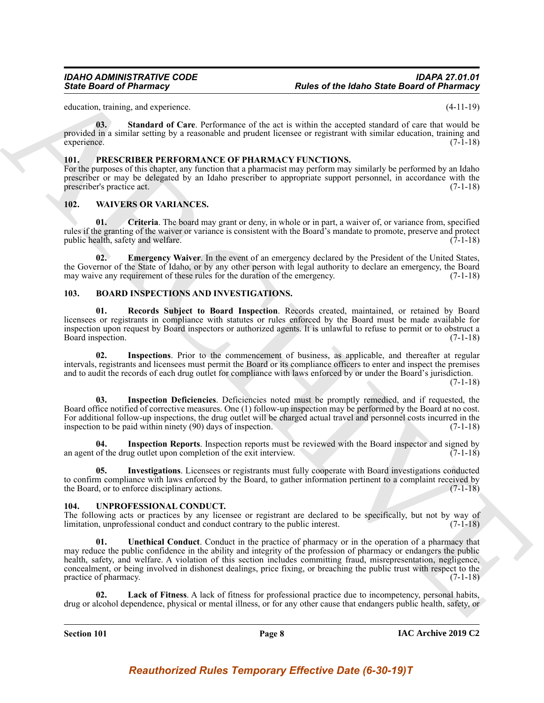education, training, and experience. (4-11-19)

<span id="page-7-10"></span>**03. Standard of Care**. Performance of the act is within the accepted standard of care that would be provided in a similar setting by a reasonable and prudent licensee or registrant with similar education, training and experience. (7-1-18) experience. (7-1-18)

### <span id="page-7-11"></span><span id="page-7-0"></span>**101. PRESCRIBER PERFORMANCE OF PHARMACY FUNCTIONS.**

For the purposes of this chapter, any function that a pharmacist may perform may similarly be performed by an Idaho prescriber or may be delegated by an Idaho prescriber to appropriate support personnel, in accordance with the prescriber's practice act. (7-1-18)

### <span id="page-7-15"></span><span id="page-7-1"></span>**102. WAIVERS OR VARIANCES.**

<span id="page-7-16"></span>**01. Criteria**. The board may grant or deny, in whole or in part, a waiver of, or variance from, specified rules if the granting of the waiver or variance is consistent with the Board's mandate to promote, preserve and protect public health, safety and welfare.  $(7-1-18)$ 

<span id="page-7-17"></span>**02. Emergency Waiver**. In the event of an emergency declared by the President of the United States, the Governor of the State of Idaho, or by any other person with legal authority to declare an emergency, the Board may waive any requirement of these rules for the duration of the emergency. (7-1-18)

### <span id="page-7-9"></span><span id="page-7-4"></span><span id="page-7-2"></span>**103. BOARD INSPECTIONS AND INVESTIGATIONS.**

**01. Records Subject to Board Inspection**. Records created, maintained, or retained by Board licensees or registrants in compliance with statutes or rules enforced by the Board must be made available for inspection upon request by Board inspectors or authorized agents. It is unlawful to refuse to permit or to obstruct a Board inspection. (7-1-18)

<span id="page-7-7"></span>**02. Inspections**. Prior to the commencement of business, as applicable, and thereafter at regular intervals, registrants and licensees must permit the Board or its compliance officers to enter and inspect the premises and to audit the records of each drug outlet for compliance with laws enforced by or under the Board's jurisdiction.

(7-1-18)

<span id="page-7-5"></span>**03. Inspection Deficiencies**. Deficiencies noted must be promptly remedied, and if requested, the Board office notified of corrective measures. One (1) follow-up inspection may be performed by the Board at no cost. For additional follow-up inspections, the drug outlet will be charged actual travel and personnel costs incurred in the inspection to be paid within ninety (90) days of inspection. (7-1-18)

<span id="page-7-6"></span>**04.** Inspection Reports. Inspection reports must be reviewed with the Board inspector and signed by of the drug outlet upon completion of the exit interview. (7-1-18) an agent of the drug outlet upon completion of the exit interview.

<span id="page-7-8"></span>**05. Investigations**. Licensees or registrants must fully cooperate with Board investigations conducted to confirm compliance with laws enforced by the Board, to gather information pertinent to a complaint received by the Board, or to enforce disciplinary actions. (7-1-18)

### <span id="page-7-12"></span><span id="page-7-3"></span>**104. UNPROFESSIONAL CONDUCT.**

<span id="page-7-14"></span>The following acts or practices by any licensee or registrant are declared to be specifically, but not by way of limitation, unprofessional conduct and conduct contrary to the public interest. (7-1-18)

Since Board of Pharmacy<br>
Since Board of Pharmacy<br>
station and the station of Concerns of the active with the second station of Pharmacy<br>
systems of the station of Concerns of the active with the second station of the tree **01. Unethical Conduct**. Conduct in the practice of pharmacy or in the operation of a pharmacy that may reduce the public confidence in the ability and integrity of the profession of pharmacy or endangers the public health, safety, and welfare. A violation of this section includes committing fraud, misrepresentation, negligence, concealment, or being involved in dishonest dealings, price fixing, or breaching the public trust with respect to the practice of pharmacy. (7-1-18)

<span id="page-7-13"></span>Lack of Fitness. A lack of fitness for professional practice due to incompetency, personal habits, drug or alcohol dependence, physical or mental illness, or for any other cause that endangers public health, safety, or

**Section 101 Page 8**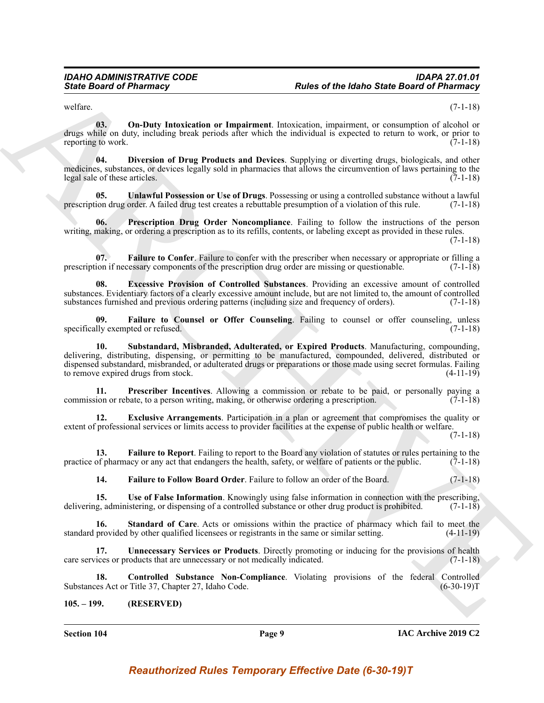<span id="page-8-8"></span>welfare. (7-1-18)

**03. On-Duty Intoxication or Impairment**. Intoxication, impairment, or consumption of alcohol or drugs while on duty, including break periods after which the individual is expected to return to work, or prior to reporting to work. (7-1-18)

<span id="page-8-1"></span>**04. Diversion of Drug Products and Devices**. Supplying or diverting drugs, biologicals, and other medicines, substances, or devices legally sold in pharmacies that allows the circumvention of laws pertaining to the legal sale of these articles. (7-1-18)

<span id="page-8-13"></span>**05. Unlawful Possession or Use of Drugs**. Possessing or using a controlled substance without a lawful prescription drug order. A failed drug test creates a rebuttable presumption of a violation of this rule.  $(7-1-18)$ 

<span id="page-8-10"></span>**Prescription Drug Order Noncompliance**. Failing to follow the instructions of the person writing, making, or ordering a prescription as to its refills, contents, or labeling except as provided in these rules.

(7-1-18)

<span id="page-8-4"></span>**07. Failure to Confer**. Failure to confer with the prescriber when necessary or appropriate or filling a prescription if necessary components of the prescription drug order are missing or questionable. (7-1-18)

<span id="page-8-2"></span>**08. Excessive Provision of Controlled Substances**. Providing an excessive amount of controlled substances. Evidentiary factors of a clearly excessive amount include, but are not limited to, the amount of controlled substances furnished and previous ordering patterns (including size and frequency of orders). (7-1-18)

<span id="page-8-12"></span><span id="page-8-5"></span>**09. Failure to Counsel or Offer Counseling**. Failing to counsel or offer counseling, unless specifically exempted or refused.

Since Board of Phistimacy<br>
Since Board of Phistimacy<br>
Since Board of Phistimacy<br>
Since Board of Phistimacy<br>
Since School of the Internet of the Internet of the Internet of the Internet of the Internet of the Internet of t **10. Substandard, Misbranded, Adulterated, or Expired Products**. Manufacturing, compounding, delivering, distributing, dispensing, or permitting to be manufactured, compounded, delivered, distributed or dispensed substandard, misbranded, or adulterated drugs or preparations or those made using secret formulas. Failing to remove expired drugs from stock. (4-11-19)

<span id="page-8-9"></span>**11. Prescriber Incentives**. Allowing a commission or rebate to be paid, or personally paying a commission or rebate, to a person writing, making, or otherwise ordering a prescription. (7-1-18)

<span id="page-8-3"></span>**12. Exclusive Arrangements**. Participation in a plan or agreement that compromises the quality or extent of professional services or limits access to provider facilities at the expense of public health or welfare.

(7-1-18)

**13. Failure to Report**. Failing to report to the Board any violation of statutes or rules pertaining to the practice of pharmacy or any act that endangers the health, safety, or welfare of patients or the public.  $(7-1-18)$ 

<span id="page-8-15"></span><span id="page-8-11"></span><span id="page-8-7"></span><span id="page-8-6"></span>**14. Failure to Follow Board Order**. Failure to follow an order of the Board. (7-1-18)

**15.** Use of False Information. Knowingly using false information in connection with the prescribing, g, administering, or dispensing of a controlled substance or other drug product is prohibited. (7-1-18) delivering, administering, or dispensing of a controlled substance or other drug product is prohibited.

**16.** Standard of Care. Acts or omissions within the practice of pharmacy which fail to meet the provided by other qualified licensees or registrants in the same or similar setting. (4-11-19) standard provided by other qualified licensees or registrants in the same or similar setting.

<span id="page-8-14"></span>**17. Unnecessary Services or Products**. Directly promoting or inducing for the provisions of health care services or products that are unnecessary or not medically indicated. (7-1-18)

**18. Controlled Substance Non-Compliance**. Violating provisions of the federal Controlled es Act or Title 37, Chapter 27, Idaho Code. (6-30-19) Substances Act or Title 37, Chapter 27, Idaho Code.

<span id="page-8-0"></span>**105. – 199. (RESERVED)**

**Section 104 Page 9**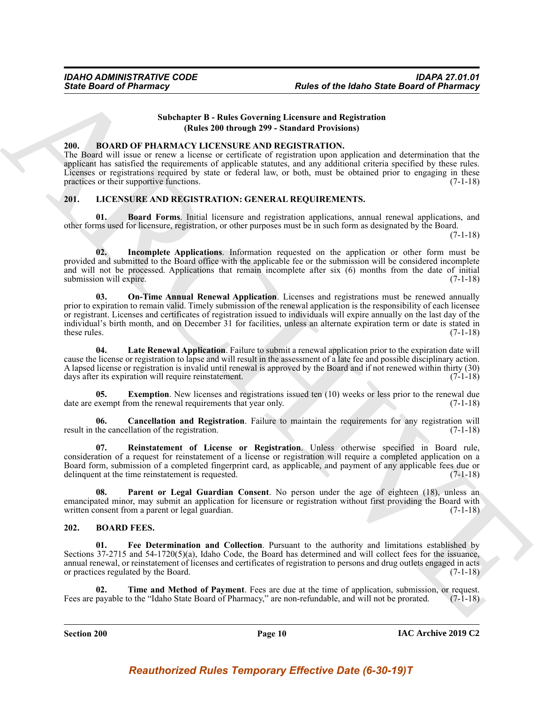### **Subchapter B - Rules Governing Licensure and Registration (Rules 200 through 299 - Standard Provisions)**

### <span id="page-9-6"></span><span id="page-9-0"></span>**200. BOARD OF PHARMACY LICENSURE AND REGISTRATION.**

The Board will issue or renew a license or certificate of registration upon application and determination that the applicant has satisfied the requirements of applicable statutes, and any additional criteria specified by these rules. Licenses or registrations required by state or federal law, or both, must be obtained prior to engaging in these practices or their supportive functions. (7-1-18)

### <span id="page-9-7"></span><span id="page-9-1"></span>**201. LICENSURE AND REGISTRATION: GENERAL REQUIREMENTS.**

<span id="page-9-8"></span>**01. Board Forms**. Initial licensure and registration applications, annual renewal applications, and other forms used for licensure, registration, or other purposes must be in such form as designated by the Board.

(7-1-18)

<span id="page-9-13"></span><span id="page-9-11"></span>**02. Incomplete Applications**. Information requested on the application or other form must be provided and submitted to the Board office with the applicable fee or the submission will be considered incomplete and will not be processed. Applications that remain incomplete after six (6) months from the date of initial submission will expire. (7-1-18)

Since Board of Pharmacy<br>
Subcluster B - Rules Covereing Labor Covereing Chemese and Replications<br>
The Board of Pharmacy Subcluster B - Rules Covereing Licenson and Replications (and the subcluster and determined the subcl **03. On-Time Annual Renewal Application**. Licenses and registrations must be renewed annually prior to expiration to remain valid. Timely submission of the renewal application is the responsibility of each licensee or registrant. Licenses and certificates of registration issued to individuals will expire annually on the last day of the individual's birth month, and on December 31 for facilities, unless an alternate expiration term or date is stated in these rules. (7-1-18)

<span id="page-9-12"></span>**04. Late Renewal Application**. Failure to submit a renewal application prior to the expiration date will cause the license or registration to lapse and will result in the assessment of a late fee and possible disciplinary action. A lapsed license or registration is invalid until renewal is approved by the Board and if not renewed within thirty (30) days after its expiration will require reinstatement. (7-1-18)

<span id="page-9-10"></span>**05.** Exemption. New licenses and registrations issued ten (10) weeks or less prior to the renewal due date are exempt from the renewal requirements that year only. (7-1-18)

<span id="page-9-9"></span>**06. Cancellation and Registration**. Failure to maintain the requirements for any registration will result in the cancellation of the registration. (7-1-18)

<span id="page-9-15"></span>**07. Reinstatement of License or Registration**. Unless otherwise specified in Board rule, consideration of a request for reinstatement of a license or registration will require a completed application on a Board form, submission of a completed fingerprint card, as applicable, and payment of any applicable fees due or delinquent at the time reinstatement is requested. (7-1-18)

<span id="page-9-14"></span>Parent or Legal Guardian Consent. No person under the age of eighteen (18), unless an emancipated minor, may submit an application for licensure or registration without first providing the Board with written consent from a parent or legal guardian. (7-1-18)

### <span id="page-9-3"></span><span id="page-9-2"></span>**202. BOARD FEES.**

<span id="page-9-4"></span>**01. Fee Determination and Collection**. Pursuant to the authority and limitations established by Sections 37-2715 and 54-1720(5)(a), Idaho Code, the Board has determined and will collect fees for the issuance, annual renewal, or reinstatement of licenses and certificates of registration to persons and drug outlets engaged in acts or practices regulated by the Board. (7-1-18)

<span id="page-9-5"></span>**02. Time and Method of Payment**. Fees are due at the time of application, submission, or request. Fees are payable to the "Idaho State Board of Pharmacy," are non-refundable, and will not be prorated. (7-1-18)

**Section 200 Page 10**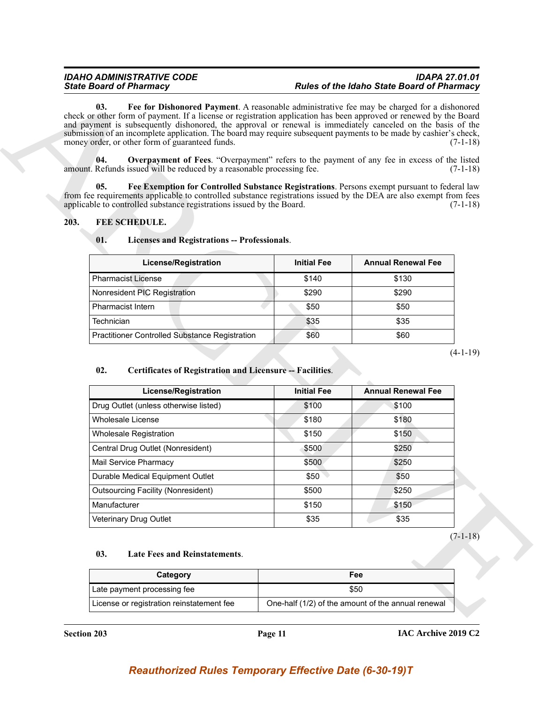### <span id="page-10-2"></span>*IDAHO ADMINISTRATIVE CODE IDAPA 27.01.01 State Board of Pharmacy Rules of the Idaho State Board of Pharmacy*

### <span id="page-10-0"></span>**203. FEE SCHEDULE.**

### <span id="page-10-7"></span><span id="page-10-4"></span><span id="page-10-3"></span><span id="page-10-1"></span>**01. Licenses and Registrations -- Professionals**.

| <b>License/Registration</b>                    | <b>Initial Fee</b> | <b>Annual Renewal Fee</b> |
|------------------------------------------------|--------------------|---------------------------|
| <b>Pharmacist License</b>                      | \$140              | \$130                     |
| Nonresident PIC Registration                   | \$290              | \$290                     |
| <b>Pharmacist Intern</b>                       | \$50               | \$50                      |
| Technician                                     | \$35               | \$35                      |
| Practitioner Controlled Substance Registration | \$60               | \$60                      |

### <span id="page-10-5"></span>**02. Certificates of Registration and Licensure -- Facilities**.

| <b>State Board of Pharmacy</b>                                                                                                                                                                                                                                                                                                                                                                                                                                                                                  |                    | <b>Rules of the Idaho State Board of Pharmacy</b> |            |
|-----------------------------------------------------------------------------------------------------------------------------------------------------------------------------------------------------------------------------------------------------------------------------------------------------------------------------------------------------------------------------------------------------------------------------------------------------------------------------------------------------------------|--------------------|---------------------------------------------------|------------|
| Fee for Dishonored Payment. A reasonable administrative fee may be charged for a dishonored<br>03.<br>check or other form of payment. If a license or registration application has been approved or renewed by the Board<br>and payment is subsequently dishonored, the approval or renewal is immediately canceled on the basis of the<br>submission of an incomplete application. The board may require subsequent payments to be made by cashier's check,<br>money order, or other form of guaranteed funds. |                    |                                                   | $(7-1-18)$ |
| 04.<br><b>Overpayment of Fees.</b> "Overpayment" refers to the payment of any fee in excess of the listed                                                                                                                                                                                                                                                                                                                                                                                                       |                    |                                                   |            |
| amount. Refunds issued will be reduced by a reasonable processing fee.                                                                                                                                                                                                                                                                                                                                                                                                                                          |                    |                                                   | $(7-1-18)$ |
| 05.<br>Fee Exemption for Controlled Substance Registrations. Persons exempt pursuant to federal law                                                                                                                                                                                                                                                                                                                                                                                                             |                    |                                                   |            |
| from fee requirements applicable to controlled substance registrations issued by the DEA are also exempt from fees<br>applicable to controlled substance registrations issued by the Board.                                                                                                                                                                                                                                                                                                                     |                    |                                                   | $(7-1-18)$ |
| 203.<br>FEE SCHEDULE.                                                                                                                                                                                                                                                                                                                                                                                                                                                                                           |                    |                                                   |            |
|                                                                                                                                                                                                                                                                                                                                                                                                                                                                                                                 |                    |                                                   |            |
| 01.<br><b>Licenses and Registrations -- Professionals.</b>                                                                                                                                                                                                                                                                                                                                                                                                                                                      |                    |                                                   |            |
| <b>License/Registration</b>                                                                                                                                                                                                                                                                                                                                                                                                                                                                                     | <b>Initial Fee</b> | <b>Annual Renewal Fee</b>                         |            |
| <b>Pharmacist License</b>                                                                                                                                                                                                                                                                                                                                                                                                                                                                                       | \$140              | \$130                                             |            |
| Nonresident PIC Registration                                                                                                                                                                                                                                                                                                                                                                                                                                                                                    | \$290              | \$290                                             |            |
| Pharmacist Intern                                                                                                                                                                                                                                                                                                                                                                                                                                                                                               | \$50               | \$50                                              |            |
|                                                                                                                                                                                                                                                                                                                                                                                                                                                                                                                 |                    |                                                   |            |
| Technician                                                                                                                                                                                                                                                                                                                                                                                                                                                                                                      | \$35               | \$35                                              |            |
| Practitioner Controlled Substance Registration<br>02.<br><b>Certificates of Registration and Licensure -- Facilities.</b>                                                                                                                                                                                                                                                                                                                                                                                       | \$60               | \$60                                              |            |
|                                                                                                                                                                                                                                                                                                                                                                                                                                                                                                                 |                    |                                                   |            |
| <b>License/Registration</b>                                                                                                                                                                                                                                                                                                                                                                                                                                                                                     | <b>Initial Fee</b> | <b>Annual Renewal Fee</b>                         |            |
| Drug Outlet (unless otherwise listed)                                                                                                                                                                                                                                                                                                                                                                                                                                                                           | \$100              | \$100                                             |            |
| <b>Wholesale License</b>                                                                                                                                                                                                                                                                                                                                                                                                                                                                                        | \$180              | \$180                                             |            |
| Wholesale Registration                                                                                                                                                                                                                                                                                                                                                                                                                                                                                          | \$150              | \$150                                             |            |
| Central Drug Outlet (Nonresident)<br>Mail Service Pharmacy                                                                                                                                                                                                                                                                                                                                                                                                                                                      | \$500              | \$250                                             |            |
|                                                                                                                                                                                                                                                                                                                                                                                                                                                                                                                 | \$500              | \$250                                             |            |
| Durable Medical Equipment Outlet<br><b>Outsourcing Facility (Nonresident)</b>                                                                                                                                                                                                                                                                                                                                                                                                                                   | \$50<br>\$500      | \$50<br>\$250                                     |            |
| Manufacturer                                                                                                                                                                                                                                                                                                                                                                                                                                                                                                    | \$150              | \$150                                             |            |
| Veterinary Drug Outlet                                                                                                                                                                                                                                                                                                                                                                                                                                                                                          | \$35               | \$35                                              | $(4-1-19)$ |
|                                                                                                                                                                                                                                                                                                                                                                                                                                                                                                                 |                    |                                                   |            |
| 03.<br>Late Fees and Reinstatements.                                                                                                                                                                                                                                                                                                                                                                                                                                                                            |                    |                                                   | $(7-1-18)$ |
| Category                                                                                                                                                                                                                                                                                                                                                                                                                                                                                                        |                    | Fee                                               |            |
| Late payment processing fee                                                                                                                                                                                                                                                                                                                                                                                                                                                                                     |                    | \$50                                              |            |

### <span id="page-10-6"></span>**03. Late Fees and Reinstatements**.

| Category                                  | Fee                                                |
|-------------------------------------------|----------------------------------------------------|
| Late payment processing fee               | \$50                                               |
| License or registration reinstatement fee | One-half (1/2) of the amount of the annual renewal |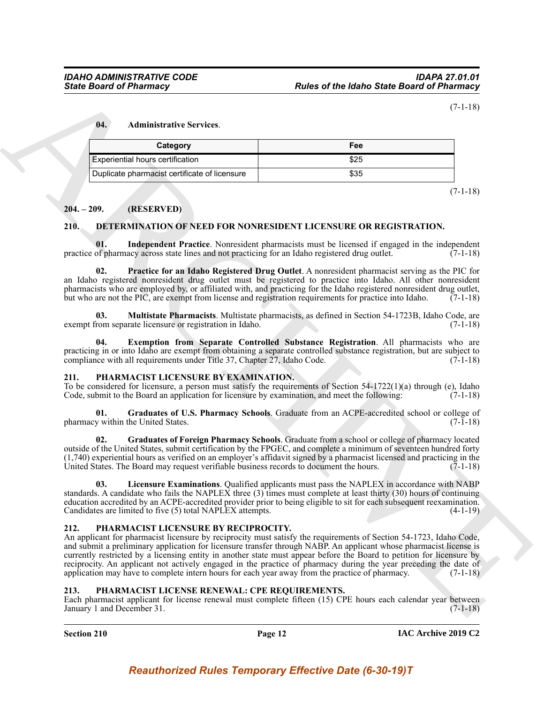(7-1-18)

### <span id="page-11-10"></span>**04. Administrative Services**.

| Category                                      | Fee  |
|-----------------------------------------------|------|
| Experiential hours certification              | \$25 |
| Duplicate pharmacist certificate of licensure | \$35 |

(7-1-18)

### <span id="page-11-0"></span>**204. – 209. (RESERVED)**

### <span id="page-11-5"></span><span id="page-11-1"></span>**210. DETERMINATION OF NEED FOR NONRESIDENT LICENSURE OR REGISTRATION.**

<span id="page-11-7"></span>**01.** Independent Practice. Nonresident pharmacists must be licensed if engaged in the independent of pharmacy across state lines and not practicing for an Idaho registered drug outlet. (7-1-18) practice of pharmacy across state lines and not practicing for an Idaho registered drug outlet.

<span id="page-11-9"></span>**02. Practice for an Idaho Registered Drug Outlet**. A nonresident pharmacist serving as the PIC for an Idaho registered nonresident drug outlet must be registered to practice into Idaho. All other nonresident pharmacists who are employed by, or affiliated with, and practicing for the Idaho registered nonresident drug outlet, but who are not the PIC, are exempt from license and registration requirements for practice into Idaho.  $(7-1-18)$ 

<span id="page-11-8"></span>**03. Multistate Pharmacists**. Multistate pharmacists, as defined in Section 54-1723B, Idaho Code, are exempt from separate licensure or registration in Idaho. (7-1-18)

<span id="page-11-6"></span>**04. Exemption from Separate Controlled Substance Registration**. All pharmacists who are practicing in or into Idaho are exempt from obtaining a separate controlled substance registration, but are subject to compliance with all requirements under Title 37, Chapter 27, Idaho Code. (7-1-18)

### <span id="page-11-12"></span><span id="page-11-2"></span>**211. PHARMACIST LICENSURE BY EXAMINATION.**

To be considered for licensure, a person must satisfy the requirements of Section 54-1722(1)(a) through (e), Idaho Code, submit to the Board an application for licensure by examination, and meet the following: (7-1-18)

<span id="page-11-14"></span>**01. Graduates of U.S. Pharmacy Schools**. Graduate from an ACPE-accredited school or college of pharmacy within the United States. (7-1-18)

<span id="page-11-13"></span>**02. Graduates of Foreign Pharmacy Schools**. Graduate from a school or college of pharmacy located outside of the United States, submit certification by the FPGEC, and complete a minimum of seventeen hundred forty (1,740) experiential hours as verified on an employer's affidavit signed by a pharmacist licensed and practicing in the United States. The Board may request verifiable business records to document the hours.  $(7-1-18)$ 

<span id="page-11-15"></span>**03. Licensure Examinations**. Qualified applicants must pass the NAPLEX in accordance with NABP standards. A candidate who fails the NAPLEX three (3) times must complete at least thirty (30) hours of continuing education accredited by an ACPE-accredited provider prior to being eligible to sit for each subsequent reexamination. Candidates are limited to five (5) total NAPLEX attempts. (4-1-19)

### <span id="page-11-16"></span><span id="page-11-3"></span>**212. PHARMACIST LICENSURE BY RECIPROCITY.**

Since Board of Phistomacy<br>
Transformation (7-1-15)<br>
14. Administrative Services<br>
Coulombiance Services<br>
Coulombiance Services<br>
Coulombiance Services<br>
Coulombiance Services<br>
253<br>
2011. In the principal of Phistomac of Dese An applicant for pharmacist licensure by reciprocity must satisfy the requirements of Section 54-1723, Idaho Code, and submit a preliminary application for licensure transfer through NABP. An applicant whose pharmacist license is currently restricted by a licensing entity in another state must appear before the Board to petition for licensure by reciprocity. An applicant not actively engaged in the practice of pharmacy during the year preceding the date of application may have to complete intern hours for each year away from the practice of pharmacy. (7-1-18)

### <span id="page-11-11"></span><span id="page-11-4"></span>**213. PHARMACIST LICENSE RENEWAL: CPE REQUIREMENTS.**

Each pharmacist applicant for license renewal must complete fifteen (15) CPE hours each calendar year between January 1 and December 31. (7-1-18)

**Section 210 Page 12**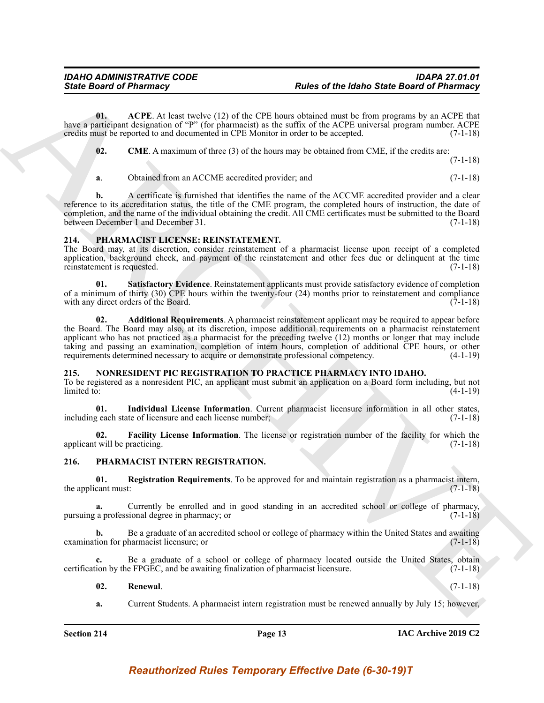**01. ACPE**. At least twelve (12) of the CPE hours obtained must be from programs by an ACPE that have a participant designation of "P" (for pharmacist) as the suffix of the ACPE universal program number. ACPE credits must be reported to and documented in CPE Monitor in order to be accepted. (7-1-18)

<span id="page-12-13"></span><span id="page-12-12"></span>**02. CME**. A maximum of three (3) of the hours may be obtained from CME, if the credits are:

(7-1-18)

**a**. Obtained from an ACCME accredited provider; and  $(7-1-18)$ 

**b.** A certificate is furnished that identifies the name of the ACCME accredited provider and a clear reference to its accreditation status, the title of the CME program, the completed hours of instruction, the date of completion, and the name of the individual obtaining the credit. All CME certificates must be submitted to the Board between December 1 and December 31. (7-1-18)

### <span id="page-12-9"></span><span id="page-12-0"></span>**214. PHARMACIST LICENSE: REINSTATEMENT.**

The Board may, at its discretion, consider reinstatement of a pharmacist license upon receipt of a completed application, background check, and payment of the reinstatement and other fees due or delinquent at the time reinstatement is requested. (7-1-18)

<span id="page-12-11"></span><span id="page-12-10"></span>**01. Satisfactory Evidence**. Reinstatement applicants must provide satisfactory evidence of completion of a minimum of thirty (30) CPE hours within the twenty-four (24) months prior to reinstatement and compliance with any direct orders of the Board. (7-1-18)

Since Board of Pharmacy<br>
Units of The board of Pharmacy<br>
Units of The board of Pharmacy<br>
Units of The board of Pharmacy<br>
Weight and the restriction of the China Since The China Since The Method Method Method Method<br>
21. C **02. Additional Requirements**. A pharmacist reinstatement applicant may be required to appear before the Board. The Board may also, at its discretion, impose additional requirements on a pharmacist reinstatement applicant who has not practiced as a pharmacist for the preceding twelve (12) months or longer that may include taking and passing an examination, completion of intern hours, completion of additional CPE hours, or other requirements determined necessary to acquire or demonstrate professional competency. (4-1-19)

### <span id="page-12-3"></span><span id="page-12-1"></span>**215. NONRESIDENT PIC REGISTRATION TO PRACTICE PHARMACY INTO IDAHO.**

To be registered as a nonresident PIC, an applicant must submit an application on a Board form including, but not  $\lim \left(4-1-19\right)$  (4-1-19)

<span id="page-12-5"></span>**01. Individual License Information**. Current pharmacist licensure information in all other states, including each state of licensure and each license number; (7-1-18)

<span id="page-12-4"></span>**02. Facility License Information**. The license or registration number of the facility for which the applicant will be practicing. (7-1-18)  $(7-1-18)$ 

### <span id="page-12-6"></span><span id="page-12-2"></span>**216. PHARMACIST INTERN REGISTRATION.**

<span id="page-12-7"></span>**01. Registration Requirements**. To be approved for and maintain registration as a pharmacist intern, the applicant must:

**a.** Currently be enrolled and in good standing in an accredited school or college of pharmacy, pursuing a professional degree in pharmacy; or (7-1-18)

**b.** Be a graduate of an accredited school or college of pharmacy within the United States and awaiting tion for pharmacist licensure; or examination for pharmacist licensure; or

**c.** Be a graduate of a school or college of pharmacy located outside the United States, obtain certification by the FPGEC, and be awaiting finalization of pharmacist licensure. (7-1-18)

### <span id="page-12-8"></span>**02. Renewal**. (7-1-18)

**a.** Current Students. A pharmacist intern registration must be renewed annually by July 15; however,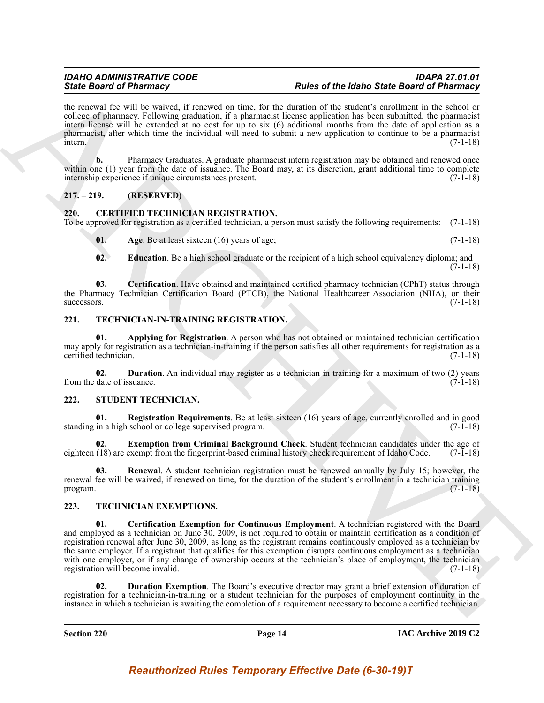the renewal fee will be waived, if renewed on time, for the duration of the student's enrollment in the school or college of pharmacy. Following graduation, if a pharmacist license application has been submitted, the pharmacist intern license will be extended at no cost for up to six (6) additional months from the date of application as a pharmacist, after which time the individual will need to submit a new application to continue to be a pharmacist  $\frac{1}{2}$  intern. (7-1-18)

**b.** Pharmacy Graduates. A graduate pharmacist intern registration may be obtained and renewed once within one (1) year from the date of issuance. The Board may, at its discretion, grant additional time to complete internship experience if unique circumstances present. (7-1-18)

### <span id="page-13-0"></span>**217. – 219. (RESERVED)**

### <span id="page-13-5"></span><span id="page-13-1"></span>**220. CERTIFIED TECHNICIAN REGISTRATION.**

To be approved for registration as a certified technician, a person must satisfy the following requirements: (7-1-18)

<span id="page-13-6"></span>**01.** Age. Be at least sixteen (16) years of age;  $(7-1-18)$ 

<span id="page-13-8"></span><span id="page-13-7"></span>**02. Education**. Be a high school graduate or the recipient of a high school equivalency diploma; and (7-1-18)

**03. Certification**. Have obtained and maintained certified pharmacy technician (CPhT) status through the Pharmacy Technician Certification Board (PTCB), the National Healthcareer Association (NHA), or their successors. (7-1-18)  $successors.$  (7-1-18)

### <span id="page-13-16"></span><span id="page-13-2"></span>**221. TECHNICIAN-IN-TRAINING REGISTRATION.**

<span id="page-13-17"></span>**01. Applying for Registration**. A person who has not obtained or maintained technician certification may apply for registration as a technician-in-training if the person satisfies all other requirements for registration as a certified technician. (7-1-18)

<span id="page-13-18"></span>**02. Duration**. An individual may register as a technician-in-training for a maximum of two (2) years from the date of issuance. (7-1-18)

### <span id="page-13-9"></span><span id="page-13-3"></span>**222. STUDENT TECHNICIAN.**

<span id="page-13-11"></span>**01. Registration Requirements**. Be at least sixteen (16) years of age, currently enrolled and in good in a high school or college supervised program. (7-1-18) standing in a high school or college supervised program.

<span id="page-13-10"></span>**Exemption from Criminal Background Check**. Student technician candidates under the age of exempt from the fingerprint-based criminal history check requirement of Idaho Code. (7-1-18) eighteen (18) are exempt from the fingerprint-based criminal history check requirement of Idaho Code.

<span id="page-13-12"></span>**03. Renewal**. A student technician registration must be renewed annually by July 15; however, the renewal fee will be waived, if renewed on time, for the duration of the student's enrollment in a technician training program. (7-1-18) program.  $(7-1-18)$ 

### <span id="page-13-14"></span><span id="page-13-13"></span><span id="page-13-4"></span>**223. TECHNICIAN EXEMPTIONS.**

Sink Book of Phinomagne Canadian and Research and Research Mathematical Action Sink Canadian and Phinomagne Canadian and Canadian and Canadian and Canadian and Canadian and Canadian and Canadian and Canadian and Canadian **01. Certification Exemption for Continuous Employment**. A technician registered with the Board and employed as a technician on June 30, 2009, is not required to obtain or maintain certification as a condition of registration renewal after June 30, 2009, as long as the registrant remains continuously employed as a technician by the same employer. If a registrant that qualifies for this exemption disrupts continuous employment as a technician with one employer, or if any change of ownership occurs at the technician's place of employment, the technician registration will become invalid. (7-1-18)

<span id="page-13-15"></span>**02. Duration Exemption**. The Board's executive director may grant a brief extension of duration of registration for a technician-in-training or a student technician for the purposes of employment continuity in the instance in which a technician is awaiting the completion of a requirement necessary to become a certified technician.

**Section 220 Page 14**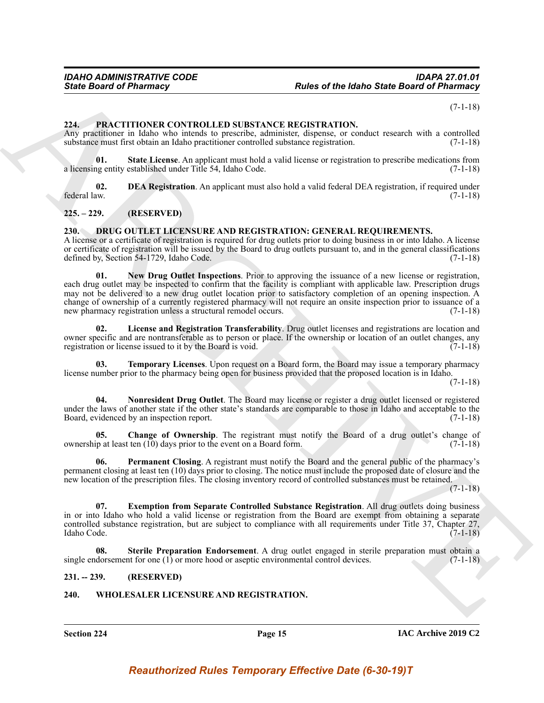(7-1-18)

#### <span id="page-14-14"></span><span id="page-14-0"></span>**224. PRACTITIONER CONTROLLED SUBSTANCE REGISTRATION.**

Any practitioner in Idaho who intends to prescribe, administer, dispense, or conduct research with a controlled substance must first obtain an Idaho practitioner controlled substance registration. (7-1-18)

<span id="page-14-16"></span>**01. State License**. An applicant must hold a valid license or registration to prescribe medications from a licensing entity established under Title 54, Idaho Code. (7-1-18)

<span id="page-14-15"></span>**02. DEA Registration**. An applicant must also hold a valid federal DEA registration, if required under federal law. (7-1-18) federal law. (7-1-18)

<span id="page-14-1"></span>**225. – 229. (RESERVED)**

### <span id="page-14-5"></span><span id="page-14-2"></span>**230. DRUG OUTLET LICENSURE AND REGISTRATION: GENERAL REQUIREMENTS.**

<span id="page-14-9"></span>A license or a certificate of registration is required for drug outlets prior to doing business in or into Idaho. A license or certificate of registration will be issued by the Board to drug outlets pursuant to, and in the general classifications defined by, Section 54-1729, Idaho Code. (7-1-18)

Since Board of Pharmacy<br>
26 de Board of Pharmacy<br>
27 de Leon Correspondent and Resistent and New York (NTR CATTEXTIV)<br>
28 de la Correspondent and Resistent and Resistent and Resistent and Resistent and Resistent and Resis **01. New Drug Outlet Inspections**. Prior to approving the issuance of a new license or registration, each drug outlet may be inspected to confirm that the facility is compliant with applicable law. Prescription drugs may not be delivered to a new drug outlet location prior to satisfactory completion of an opening inspection. A change of ownership of a currently registered pharmacy will not require an onsite inspection prior to issuance of a new pharmacy registration unless a structural remodel occurs. (7-1-18)

<span id="page-14-8"></span>**02. License and Registration Transferability**. Drug outlet licenses and registrations are location and owner specific and are nontransferable as to person or place. If the ownership or location of an outlet changes, any registration or license issued to it by the Board is void. (7-1-18) registration or license issued to it by the Board is void.

<span id="page-14-13"></span>**03. Temporary Licenses**. Upon request on a Board form, the Board may issue a temporary pharmacy license number prior to the pharmacy being open for business provided that the proposed location is in Idaho.

(7-1-18)

<span id="page-14-10"></span>**04. Nonresident Drug Outlet**. The Board may license or register a drug outlet licensed or registered under the laws of another state if the other state's standards are comparable to those in Idaho and acceptable to the Board, evidenced by an inspection report. (7-1-18)

<span id="page-14-6"></span>**05.** Change of Ownership. The registrant must notify the Board of a drug outlet's change of ownership at least ten (10) days prior to the event on a Board form. (7-1-18)

<span id="page-14-11"></span>**06. Permanent Closing**. A registrant must notify the Board and the general public of the pharmacy's permanent closing at least ten (10) days prior to closing. The notice must include the proposed date of closure and the new location of the prescription files. The closing inventory record of controlled substances must be retained.

 $(7-1-18)$ 

<span id="page-14-7"></span>**07. Exemption from Separate Controlled Substance Registration**. All drug outlets doing business in or into Idaho who hold a valid license or registration from the Board are exempt from obtaining a separate controlled substance registration, but are subject to compliance with all requirements under Title 37, Chapter 27, Idaho Code. (7-1-18)

<span id="page-14-12"></span>**08. Sterile Preparation Endorsement**. A drug outlet engaged in sterile preparation must obtain a single endorsement for one (1) or more hood or aseptic environmental control devices. (7-1-18)

### <span id="page-14-3"></span>**231. -- 239. (RESERVED)**

### <span id="page-14-17"></span><span id="page-14-4"></span>**240. WHOLESALER LICENSURE AND REGISTRATION.**

**Section 224 Page 15**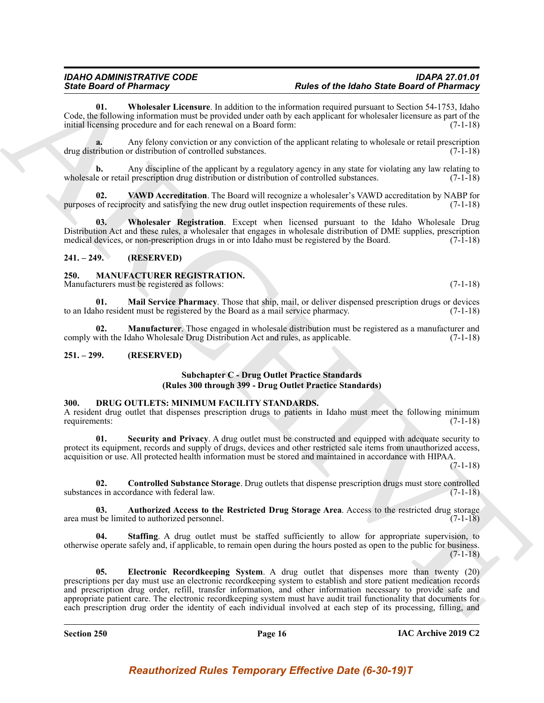### *IDAHO ADMINISTRATIVE CODE IDAPA 27.01.01 State Board of Pharmacy Rules of the Idaho State Board of Pharmacy*

<span id="page-15-14"></span>**01. Wholesaler Licensure**. In addition to the information required pursuant to Section 54-1753, Idaho Code, the following information must be provided under oath by each applicant for wholesaler licensure as part of the initial licensing procedure and for each renewal on a Board form: (7-1-18)

**a.** Any felony conviction or any conviction of the applicant relating to wholesale or retail prescription drug distribution or distribution of controlled substances. (7-1-18)

**b.** Any discipline of the applicant by a regulatory agency in any state for violating any law relating to wholesale or retail prescription drug distribution or distribution of controlled substances. (7-1-18)

<span id="page-15-13"></span>**02. VAWD Accreditation**. The Board will recognize a wholesaler's VAWD accreditation by NABP for purposes of reciprocity and satisfying the new drug outlet inspection requirements of these rules. (7-1-18)

<span id="page-15-15"></span>**03. Wholesaler Registration**. Except when licensed pursuant to the Idaho Wholesale Drug Distribution Act and these rules, a wholesaler that engages in wholesale distribution of DME supplies, prescription medical devices, or non-prescription drugs in or into Idaho must be registered by the Board. (7-1-18)

### <span id="page-15-0"></span>**241. – 249. (RESERVED)**

### <span id="page-15-10"></span><span id="page-15-1"></span>**250. MANUFACTURER REGISTRATION.**

Manufacturers must be registered as follows: (7-1-18)

<span id="page-15-11"></span>**01. Mail Service Pharmacy**. Those that ship, mail, or deliver dispensed prescription drugs or devices to an Idaho resident must be registered by the Board as a mail service pharmacy.

<span id="page-15-12"></span>**02. Manufacturer**. Those engaged in wholesale distribution must be registered as a manufacturer and comply with the Idaho Wholesale Drug Distribution Act and rules, as applicable. (7-1-18)

### <span id="page-15-2"></span>**251. – 299. (RESERVED)**

### **Subchapter C - Drug Outlet Practice Standards (Rules 300 through 399 - Drug Outlet Practice Standards)**

### <span id="page-15-4"></span><span id="page-15-3"></span>**300. DRUG OUTLETS: MINIMUM FACILITY STANDARDS.**

A resident drug outlet that dispenses prescription drugs to patients in Idaho must meet the following minimum requirements: (7-1-18)

<span id="page-15-8"></span>**01. Security and Privacy**. A drug outlet must be constructed and equipped with adequate security to protect its equipment, records and supply of drugs, devices and other restricted sale items from unauthorized access, acquisition or use. All protected health information must be stored and maintained in accordance with HIPAA.

(7-1-18)

<span id="page-15-6"></span>**02. Controlled Substance Storage**. Drug outlets that dispense prescription drugs must store controlled substances in accordance with federal law. (7-1-18)

<span id="page-15-5"></span>**03. Authorized Access to the Restricted Drug Storage Area**. Access to the restricted drug storage area must be limited to authorized personnel. (7-1-18)

<span id="page-15-9"></span><span id="page-15-7"></span>**04. Staffing**. A drug outlet must be staffed sufficiently to allow for appropriate supervision, to otherwise operate safely and, if applicable, to remain open during the hours posted as open to the public for business.  $(7-1-18)$ 

Since Brownware Leading the stationary and the stationary in the stationary in the stationary in the stationary and the stationary in the stationary and the stationary in the stationary in the stationary in the stationary **05. Electronic Recordkeeping System**. A drug outlet that dispenses more than twenty (20) prescriptions per day must use an electronic recordkeeping system to establish and store patient medication records and prescription drug order, refill, transfer information, and other information necessary to provide safe and appropriate patient care. The electronic recordkeeping system must have audit trail functionality that documents for each prescription drug order the identity of each individual involved at each step of its processing, filling, and

**Section 250 Page 16**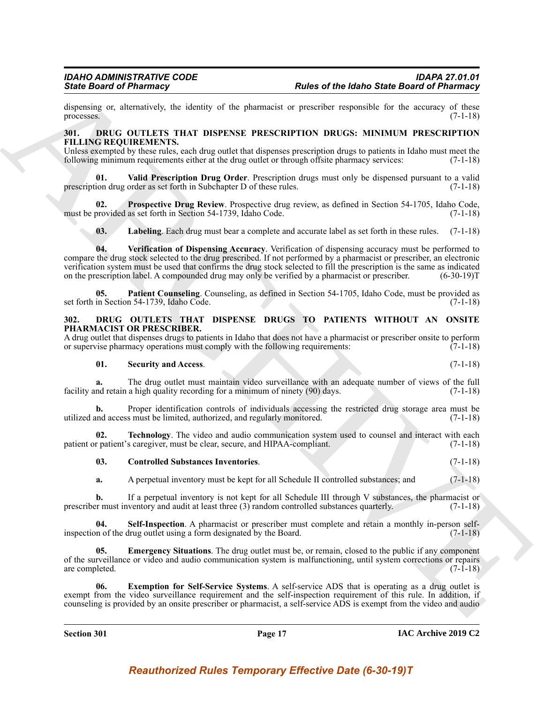dispensing or, alternatively, the identity of the pharmacist or prescriber responsible for the accuracy of these processes. (7-1-18) processes.  $(7-1-18)$ 

#### <span id="page-16-9"></span><span id="page-16-0"></span>**301. DRUG OUTLETS THAT DISPENSE PRESCRIPTION DRUGS: MINIMUM PRESCRIPTION FILLING REQUIREMENTS.**

Unless exempted by these rules, each drug outlet that dispenses prescription drugs to patients in Idaho must meet the following minimum requirements either at the drug outlet or through offsite pharmacy services: (7-1-18) following minimum requirements either at the drug outlet or through offsite pharmacy services:

<span id="page-16-13"></span>**01. Valid Prescription Drug Order**. Prescription drugs must only be dispensed pursuant to a valid prescription drug order as set forth in Subchapter D of these rules. (7-1-18)

**02. Prospective Drug Review**. Prospective drug review, as defined in Section 54-1705, Idaho Code,<br>provided as set forth in Section 54-1739, Idaho Code. (7-1-18) must be provided as set forth in Section 54-1739, Idaho Code.

<span id="page-16-14"></span><span id="page-16-12"></span><span id="page-16-11"></span><span id="page-16-10"></span>**03. Labeling**. Each drug must bear a complete and accurate label as set forth in these rules. (7-1-18)

Since Gradient of Phismapy<br>
Since Gradient of the plannets of the plannets of the plannets of the measure of the measure of the measure of<br>
The MaxChine and The MaxChine Control of the measure of the measure of the measur **04. Verification of Dispensing Accuracy**. Verification of dispensing accuracy must be performed to compare the drug stock selected to the drug prescribed. If not performed by a pharmacist or prescriber, an electronic verification system must be used that confirms the drug stock selected to fill the prescription is the same as indicated on the prescription label. A compounded drug may only be verified by a pharmacist or prescriber. (6-30-19)T

**05. Patient Counseling**. Counseling, as defined in Section 54-1705, Idaho Code, must be provided as set forth in Section 54-1739, Idaho Code. (7-1-18)

### <span id="page-16-2"></span><span id="page-16-1"></span>**302. DRUG OUTLETS THAT DISPENSE DRUGS TO PATIENTS WITHOUT AN ONSITE PHARMACIST OR PRESCRIBER.**

A drug outlet that dispenses drugs to patients in Idaho that does not have a pharmacist or prescriber onsite to perform or supervise pharmacy operations must comply with the following requirements: (7-1-18) or supervise pharmacy operations must comply with the following requirements:

### <span id="page-16-6"></span>**01. Security and Access**. (7-1-18)

**a.** The drug outlet must maintain video surveillance with an adequate number of views of the full facility and retain a high quality recording for a minimum of ninety (90) days. (7-1-18)

**b.** Proper identification controls of individuals accessing the restricted drug storage area must be utilized and access must be limited, authorized, and regularly monitored. (7-1-18)

**02. Technology**. The video and audio communication system used to counsel and interact with each patient or patient's caregiver, must be clear, secure, and HIPAA-compliant. (7-1-18)

### <span id="page-16-8"></span><span id="page-16-3"></span>**03. Controlled Substances Inventories**. (7-1-18)

<span id="page-16-7"></span>**a.** A perpetual inventory must be kept for all Schedule II controlled substances; and  $(7-1-18)$ 

**b.** If a perpetual inventory is not kept for all Schedule III through V substances, the pharmacist or r must inventory and audit at least three (3) random controlled substances quarterly. (7-1-18) prescriber must inventory and audit at least three  $(3)$  random controlled substances quarterly.

**Self-Inspection**. A pharmacist or prescriber must complete and retain a monthly in-person selfinspection of the drug outlet using a form designated by the Board.  $(7-1-18)$ 

<span id="page-16-4"></span>**05. Emergency Situations**. The drug outlet must be, or remain, closed to the public if any component of the surveillance or video and audio communication system is malfunctioning, until system corrections or repairs are completed. (7-1-18) are completed.  $(7-1-18)$ 

<span id="page-16-5"></span>**06. Exemption for Self-Service Systems**. A self-service ADS that is operating as a drug outlet is exempt from the video surveillance requirement and the self-inspection requirement of this rule. In addition, if counseling is provided by an onsite prescriber or pharmacist, a self-service ADS is exempt from the video and audio

**Section 301 Page 17**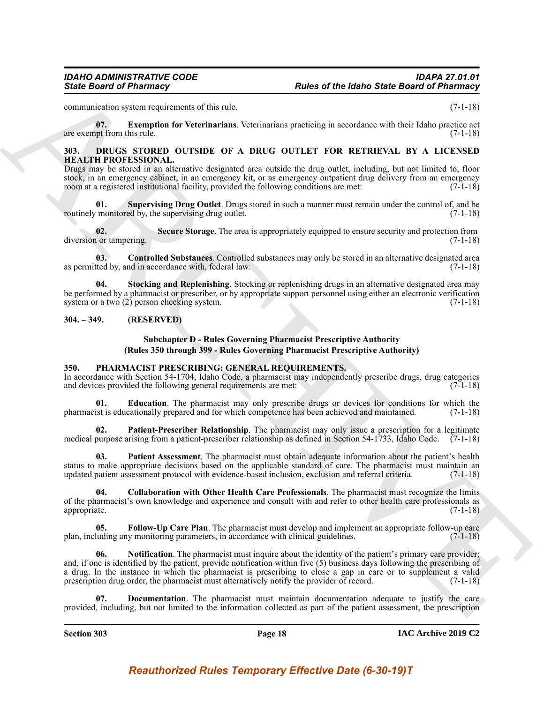<span id="page-17-3"></span>communication system requirements of this rule. (7-1-18)

**07. Exemption for Veterinarians**. Veterinarians practicing in accordance with their Idaho practice act are exempt from this rule.  $(7-1-18)$ 

### <span id="page-17-4"></span><span id="page-17-0"></span>**303. DRUGS STORED OUTSIDE OF A DRUG OUTLET FOR RETRIEVAL BY A LICENSED HEALTH PROFESSIONAL.**

Drugs may be stored in an alternative designated area outside the drug outlet, including, but not limited to, floor stock, in an emergency cabinet, in an emergency kit, or as emergency outpatient drug delivery from an emergency room at a registered institutional facility, provided the following conditions are met: (7-1-18)

<span id="page-17-8"></span>**01. Supervising Drug Outlet**. Drugs stored in such a manner must remain under the control of, and be routinely monitored by, the supervising drug outlet.

<span id="page-17-6"></span>**02. Secure Storage**. The area is appropriately equipped to ensure security and protection from 1 or tampering. (7-1-18) diversion or tampering.

<span id="page-17-5"></span>**03. Controlled Substances**. Controlled substances may only be stored in an alternative designated area as permitted by, and in accordance with, federal law. (7-1-18)

**04. Stocking and Replenishing**. Stocking or replenishing drugs in an alternative designated area may be performed by a pharmacist or prescriber, or by appropriate support personnel using either an electronic verification system or a two  $(2)$  person checking system. (7-1-18)

### <span id="page-17-1"></span>**304. – 349. (RESERVED)**

### <span id="page-17-12"></span><span id="page-17-7"></span>**Subchapter D - Rules Governing Pharmacist Prescriptive Authority (Rules 350 through 399 - Rules Governing Pharmacist Prescriptive Authority)**

### <span id="page-17-9"></span><span id="page-17-2"></span>**350. PHARMACIST PRESCRIBING: GENERAL REQUIREMENTS.**

In accordance with Section 54-1704, Idaho Code, a pharmacist may independently prescribe drugs, drug categories and devices provided the following general requirements are met:  $(7-1-18)$ 

**01. Education**. The pharmacist may only prescribe drugs or devices for conditions for which the pharmacist is educationally prepared and for which competence has been achieved and maintained. (7-1-18)

<span id="page-17-16"></span>**02. Patient-Prescriber Relationship**. The pharmacist may only issue a prescription for a legitimate medical purpose arising from a patient-prescriber relationship as defined in Section 54-1733, Idaho Code.  $(7-1-18)$ 

<span id="page-17-15"></span>**03. Patient Assessment**. The pharmacist must obtain adequate information about the patient's health status to make appropriate decisions based on the applicable standard of care. The pharmacist must maintain an updated patient assessment protocol with evidence-based inclusion, exclusion and referral criteria. (7-1-18)

<span id="page-17-10"></span>**04. Collaboration with Other Health Care Professionals**. The pharmacist must recognize the limits of the pharmacist's own knowledge and experience and consult with and refer to other health care professionals as appropriate. (7-1-18)

<span id="page-17-14"></span><span id="page-17-13"></span>**05.** Follow-Up Care Plan. The pharmacist must develop and implement an appropriate follow-up care luding any monitoring parameters, in accordance with clinical guidelines. (7-1-18) plan, including any monitoring parameters, in accordance with clinical guidelines.

Since Board of Phistomacy<br>
Since Board of Phistomacy<br>
Since Board of Phistomacy<br>
Since Board of Phistomacy<br>
Since Board visited the trace of the state of the contents when the contents when the contents of the product of<br> **06.** Notification. The pharmacist must inquire about the identity of the patient's primary care provider; and, if one is identified by the patient, provide notification within five (5) business days following the prescribing of a drug. In the instance in which the pharmacist is prescribing to close a gap in care or to supplement a valid prescription drug order, the pharmacist must alternatively notify the provider of record. (7-1-18) prescription drug order, the pharmacist must alternatively notify the provider of record.

<span id="page-17-11"></span>**07. Documentation**. The pharmacist must maintain documentation adequate to justify the care provided, including, but not limited to the information collected as part of the patient assessment, the prescription

**Section 303 Page 18**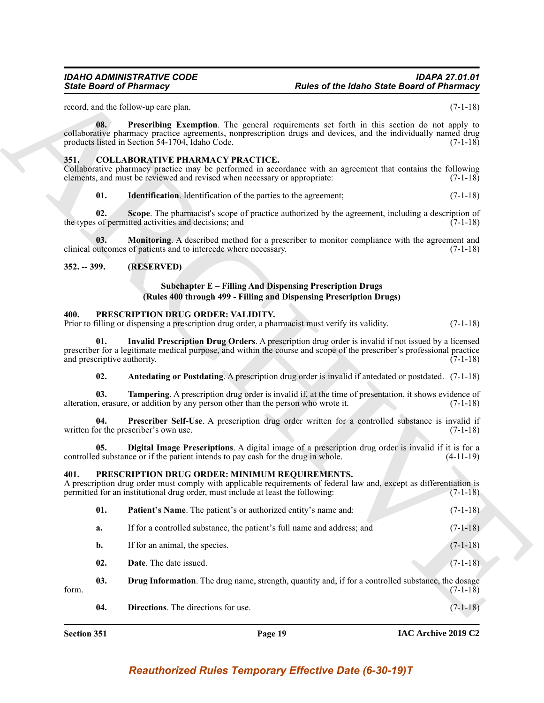### <span id="page-18-8"></span><span id="page-18-7"></span><span id="page-18-5"></span><span id="page-18-4"></span><span id="page-18-0"></span>**351. COLLABORATIVE PHARMACY PRACTICE.**

### <span id="page-18-1"></span>**352. -- 399. (RESERVED)**

### <span id="page-18-17"></span><span id="page-18-6"></span>**Subchapter E – Filling And Dispensing Prescription Drugs (Rules 400 through 499 - Filling and Dispensing Prescription Drugs)**

### <span id="page-18-19"></span><span id="page-18-15"></span><span id="page-18-14"></span><span id="page-18-2"></span>**400. PRESCRIPTION DRUG ORDER: VALIDITY.**

### <span id="page-18-18"></span><span id="page-18-16"></span><span id="page-18-13"></span><span id="page-18-9"></span><span id="page-18-3"></span>**401. PRESCRIPTION DRUG ORDER: MINIMUM REQUIREMENTS.**

| <b>State Board of Pharmacy</b>     |                                                                                                                                        | <b>Rules of the Idaho State Board of Pharmacy</b>                                                                                                                                                                            |             |
|------------------------------------|----------------------------------------------------------------------------------------------------------------------------------------|------------------------------------------------------------------------------------------------------------------------------------------------------------------------------------------------------------------------------|-------------|
|                                    | record, and the follow-up care plan.                                                                                                   |                                                                                                                                                                                                                              | $(7-1-18)$  |
| 08.                                | products listed in Section 54-1704, Idaho Code.                                                                                        | <b>Prescribing Exemption</b> . The general requirements set forth in this section do not apply to<br>collaborative pharmacy practice agreements, nonprescription drugs and devices, and the individually named drug          | $(7-1-18)$  |
| 351.                               | <b>COLLABORATIVE PHARMACY PRACTICE.</b><br>elements, and must be reviewed and revised when necessary or appropriate:                   | Collaborative pharmacy practice may be performed in accordance with an agreement that contains the following                                                                                                                 | $(7-1-18)$  |
| 01.                                | <b>Identification</b> . Identification of the parties to the agreement;                                                                |                                                                                                                                                                                                                              | $(7-1-18)$  |
| 02.                                | the types of permitted activities and decisions; and                                                                                   | Scope. The pharmacist's scope of practice authorized by the agreement, including a description of                                                                                                                            | $(7-1-18)$  |
| 03.                                | clinical outcomes of patients and to intercede where necessary.                                                                        | Monitoring. A described method for a prescriber to monitor compliance with the agreement and                                                                                                                                 | $(7-1-18)$  |
| $352. - 399.$                      | (RESERVED)                                                                                                                             |                                                                                                                                                                                                                              |             |
|                                    |                                                                                                                                        | <b>Subchapter E – Filling And Dispensing Prescription Drugs</b><br>(Rules 400 through 499 - Filling and Dispensing Prescription Drugs)                                                                                       |             |
| 400.                               | PRESCRIPTION DRUG ORDER: VALIDITY.<br>Prior to filling or dispensing a prescription drug order, a pharmacist must verify its validity. |                                                                                                                                                                                                                              | $(7-1-18)$  |
| 01.<br>and prescriptive authority. |                                                                                                                                        | Invalid Prescription Drug Orders. A prescription drug order is invalid if not issued by a licensed<br>prescriber for a legitimate medical purpose, and within the course and scope of the prescriber's professional practice | $(7-1-18)$  |
| 02.                                |                                                                                                                                        | Antedating or Postdating. A prescription drug order is invalid if antedated or postdated. (7-1-18)                                                                                                                           |             |
| 03.                                | alteration, erasure, or addition by any person other than the person who wrote it.                                                     | <b>Tampering.</b> A prescription drug order is invalid if, at the time of presentation, it shows evidence of                                                                                                                 | $(7-1-18)$  |
| 04.                                | written for the prescriber's own use.                                                                                                  | Prescriber Self-Use. A prescription drug order written for a controlled substance is invalid if                                                                                                                              | $(7-1-18)$  |
| 05.                                | controlled substance or if the patient intends to pay cash for the drug in whole.                                                      | Digital Image Prescriptions. A digital image of a prescription drug order is invalid if it is for a                                                                                                                          | $(4-11-19)$ |
| 401.                               | PRESCRIPTION DRUG ORDER: MINIMUM REQUIREMENTS.<br>permitted for an institutional drug order, must include at least the following:      | A prescription drug order must comply with applicable requirements of federal law and, except as differentiation is                                                                                                          | $(7-1-18)$  |
| 01.                                | Patient's Name. The patient's or authorized entity's name and:                                                                         |                                                                                                                                                                                                                              | $(7-1-18)$  |
|                                    | If for a controlled substance, the patient's full name and address; and                                                                |                                                                                                                                                                                                                              | $(7-1-18)$  |
| a.                                 |                                                                                                                                        |                                                                                                                                                                                                                              |             |
| $\mathbf{b}$ .                     | If for an animal, the species.                                                                                                         |                                                                                                                                                                                                                              | $(7-1-18)$  |
| 02.                                | Date. The date issued.                                                                                                                 |                                                                                                                                                                                                                              | $(7-1-18)$  |
| 03.<br>form.                       |                                                                                                                                        | <b>Drug Information</b> . The drug name, strength, quantity and, if for a controlled substance, the dosage                                                                                                                   | $(7-1-18)$  |

<span id="page-18-12"></span><span id="page-18-11"></span><span id="page-18-10"></span>**Section 351 Page 19**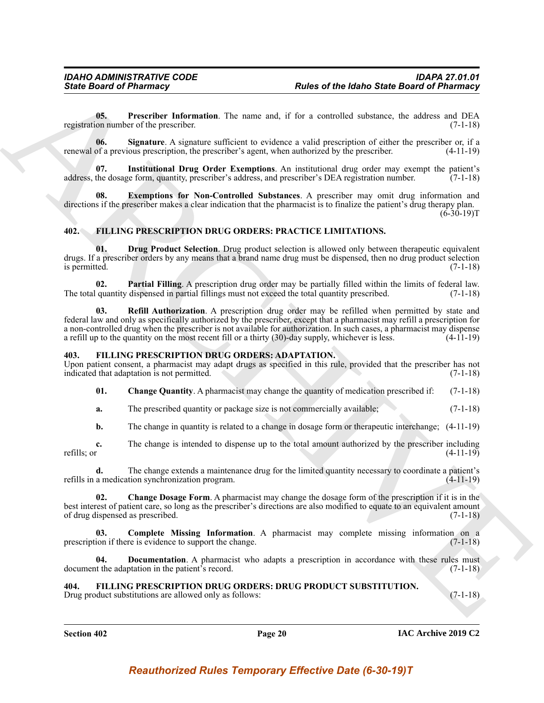<span id="page-19-15"></span>**05. Prescriber Information**. The name and, if for a controlled substance, the address and DEA registration number of the prescriber. (7-1-18)

<span id="page-19-16"></span>**06. Signature**. A signature sufficient to evidence a valid prescription of either the prescriber or, if a renewal of a previous prescription, the prescriber's agent, when authorized by the prescriber. (4-11-19)

<span id="page-19-14"></span>**07. Institutional Drug Order Exemptions**. An institutional drug order may exempt the patient's address, the dosage form, quantity, prescriber's address, and prescriber's DEA registration number. (7-1-18)

<span id="page-19-13"></span>**08. Exemptions for Non-Controlled Substances**. A prescriber may omit drug information and directions if the prescriber makes a clear indication that the pharmacist is to finalize the patient's drug therapy plan.  $(6-30-19)T$ 

### <span id="page-19-9"></span><span id="page-19-0"></span>**402. FILLING PRESCRIPTION DRUG ORDERS: PRACTICE LIMITATIONS.**

<span id="page-19-10"></span>**01. Drug Product Selection**. Drug product selection is allowed only between therapeutic equivalent drugs. If a prescriber orders by any means that a brand name drug must be dispensed, then no drug product selection is permitted. (7-1-18)

<span id="page-19-12"></span><span id="page-19-11"></span>**02. Partial Filling**. A prescription drug order may be partially filled within the limits of federal law. quantity dispensed in partial fillings must not exceed the total quantity prescribed. (7-1-18) The total quantity dispensed in partial fillings must not exceed the total quantity prescribed.

Sinks Board of Phistomacy<br>
Units of the blanks State Board of Phistomacy<br>
USLE control information. The name and, if for a consolid substance, he shakes and Disk,<br>
registers which is a specific transmission of the consoli **03. Refill Authorization**. A prescription drug order may be refilled when permitted by state and federal law and only as specifically authorized by the prescriber, except that a pharmacist may refill a prescription for a non-controlled drug when the prescriber is not available for authorization. In such cases, a pharmacist may dispense a refill up to the quantity on the most recent fill or a thirty (30)-day supply, whichever is less. (4-11-19)

#### <span id="page-19-3"></span><span id="page-19-1"></span>**403. FILLING PRESCRIPTION DRUG ORDERS: ADAPTATION.**

Upon patient consent, a pharmacist may adapt drugs as specified in this rule, provided that the prescriber has not indicated that adaptation is not permitted. (7-1-18)

<span id="page-19-5"></span>**01. Change Quantity**. A pharmacist may change the quantity of medication prescribed if: (7-1-18)

**a.** The prescribed quantity or package size is not commercially available; (7-1-18)

**b.** The change in quantity is related to a change in dosage form or therapeutic interchange;  $(4-11-19)$ 

**c.** The change is intended to dispense up to the total amount authorized by the prescriber including refills; or  $(4-11-19)$ refills; or  $(4-11-19)$ 

**d.** The change extends a maintenance drug for the limited quantity necessary to coordinate a patient's refills in a medication synchronization program. (4-11-19)

<span id="page-19-4"></span>**02. Change Dosage Form**. A pharmacist may change the dosage form of the prescription if it is in the best interest of patient care, so long as the prescriber's directions are also modified to equate to an equivalent amount of drug dispensed as prescribed. (7-1-18)

<span id="page-19-6"></span>**03.** Complete Missing Information. A pharmacist may complete missing information on a ion if there is evidence to support the change. (7-1-18) prescription if there is evidence to support the change.

<span id="page-19-7"></span>**04. Documentation**. A pharmacist who adapts a prescription in accordance with these rules must document the adaptation in the patient's record. (7-1-18)

### <span id="page-19-8"></span><span id="page-19-2"></span>**404. FILLING PRESCRIPTION DRUG ORDERS: DRUG PRODUCT SUBSTITUTION.**

Drug product substitutions are allowed only as follows: (7-1-18)

**Section 402 Page 20**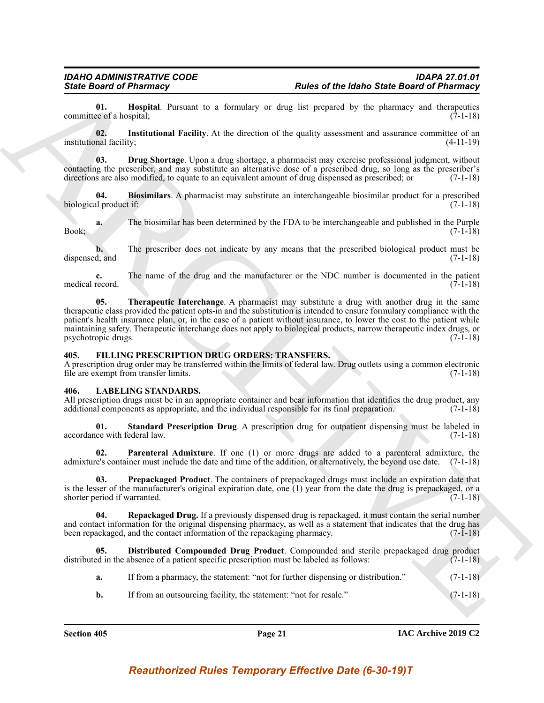<span id="page-20-4"></span>**01. Hospital**. Pursuant to a formulary or drug list prepared by the pharmacy and therapeutics each a hospital: (7-1-18) committee of a hospital;

<span id="page-20-5"></span>**02. Institutional Facility**. At the direction of the quality assessment and assurance committee of an institutional facility; (4-11-19)

<span id="page-20-3"></span>**03. Drug Shortage**. Upon a drug shortage, a pharmacist may exercise professional judgment, without contacting the prescriber, and may substitute an alternative dose of a prescribed drug, so long as the prescriber's directions are also modified, to equate to an equivalent amount of drug dispensed as prescribed; or (7-1-18)

<span id="page-20-2"></span>**04. Biosimilars**. A pharmacist may substitute an interchangeable biosimilar product for a prescribed biological product if: (7-1-18)

**a.** The biosimilar has been determined by the FDA to be interchangeable and published in the Purple Book; (7-1-18)

**b.** The prescriber does not indicate by any means that the prescribed biological product must be dispensed; and (7-1-18)

<span id="page-20-6"></span>**c.** The name of the drug and the manufacturer or the NDC number is documented in the patient medical record. (7-1-18)

Since **Driver of Philarmacy**<br>
Since **Driver of Philarmacy**<br>
Commissions (**b)** a bound it is a boundary or due to be a properties in the photons of Philarmacy<br>
commission (**b)**<br>
including the Philarmac Driver of the signal **05. Therapeutic Interchange**. A pharmacist may substitute a drug with another drug in the same therapeutic class provided the patient opts-in and the substitution is intended to ensure formulary compliance with the patient's health insurance plan, or, in the case of a patient without insurance, to lower the cost to the patient while maintaining safety. Therapeutic interchange does not apply to biological products, narrow therapeutic index drugs, or psychotropic drugs. (7-1-18)

### <span id="page-20-7"></span><span id="page-20-0"></span>**405. FILLING PRESCRIPTION DRUG ORDERS: TRANSFERS.**

A prescription drug order may be transferred within the limits of federal law. Drug outlets using a common electronic file are exempt from transfer limits. (7-1-18)

#### <span id="page-20-8"></span><span id="page-20-1"></span>LABELING STANDARDS.

All prescription drugs must be in an appropriate container and bear information that identifies the drug product, any additional components as appropriate, and the individual responsible for its final preparation. (7-1-18) additional components as appropriate, and the individual responsible for its final preparation.

<span id="page-20-13"></span>**01. Standard Prescription Drug**. A prescription drug for outpatient dispensing must be labeled in accordance with federal law. (7-1-18)

<span id="page-20-10"></span>**02. Parenteral Admixture**. If one (1) or more drugs are added to a parenteral admixture, the admixture's container must include the date and time of the addition, or alternatively, the beyond use date. (7-1-18)

<span id="page-20-11"></span>**03. Prepackaged Product**. The containers of prepackaged drugs must include an expiration date that is the lesser of the manufacturer's original expiration date, one (1) year from the date the drug is prepackaged, or a shorter period if warranted. (7-1-18)

<span id="page-20-12"></span>**04. Repackaged Drug.** If a previously dispensed drug is repackaged, it must contain the serial number and contact information for the original dispensing pharmacy, as well as a statement that indicates that the drug has been repackaged, and the contact information of the repackaging pharmacy. (7-1-18) been repackaged, and the contact information of the repackaging pharmacy.

**05. Distributed Compounded Drug Product**. Compounded and sterile prepackaged drug product distributed in the absence of a patient specific prescription must be labeled as follows: (7-1-18)

- <span id="page-20-9"></span>**a.** If from a pharmacy, the statement: "not for further dispensing or distribution." (7-1-18)
- **b.** If from an outsourcing facility, the statement: "not for resale." (7-1-18)

**Section 405 Page 21**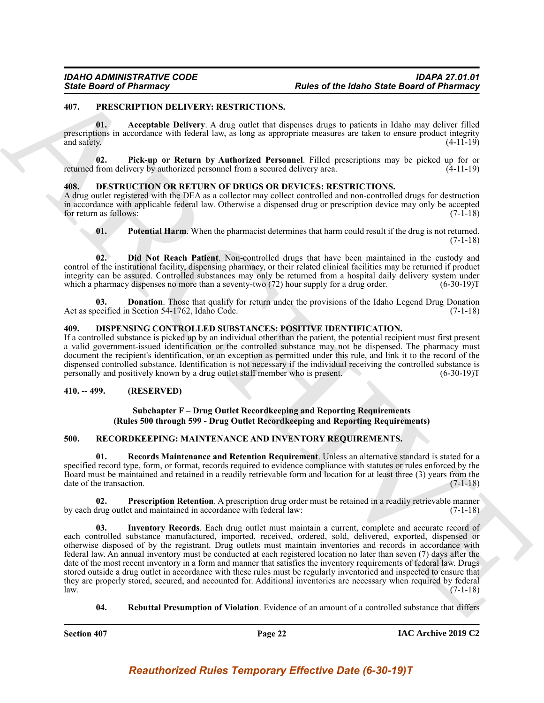### <span id="page-21-9"></span><span id="page-21-0"></span>**407. PRESCRIPTION DELIVERY: RESTRICTIONS.**

<span id="page-21-10"></span>**01. Acceptable Delivery**. A drug outlet that dispenses drugs to patients in Idaho may deliver filled prescriptions in accordance with federal law, as long as appropriate measures are taken to ensure product integrity and safety. (4-11-19)

<span id="page-21-11"></span>**02. Pick-up or Return by Authorized Personnel**. Filled prescriptions may be picked up for or returned from delivery by authorized personnel from a secured delivery area. (4-11-19)

### <span id="page-21-5"></span><span id="page-21-1"></span>**408. DESTRUCTION OR RETURN OF DRUGS OR DEVICES: RESTRICTIONS.**

A drug outlet registered with the DEA as a collector may collect controlled and non-controlled drugs for destruction in accordance with applicable federal law. Otherwise a dispensed drug or prescription device may only be accepted<br>for return as follows: (7-1-18) for return as follows:

<span id="page-21-8"></span><span id="page-21-6"></span>**01.** Potential Harm. When the pharmacist determines that harm could result if the drug is not returned.  $(7-1-18)$ 

**02. Did Not Reach Patient**. Non-controlled drugs that have been maintained in the custody and control of the institutional facility, dispensing pharmacy, or their related clinical facilities may be returned if product integrity can be assured. Controlled substances may only be returned from a hospital daily delivery system under which a pharmacy dispenses no more than a seventy-two (72) hour supply for a drug order. (6-30-19)T

<span id="page-21-7"></span>**03. Donation**. Those that qualify for return under the provisions of the Idaho Legend Drug Donation Act as specified in Section 54-1762, Idaho Code. (7-1-18)

#### <span id="page-21-2"></span>**409. DISPENSING CONTROLLED SUBSTANCES: POSITIVE IDENTIFICATION.**

If a controlled substance is picked up by an individual other than the patient, the potential recipient must first present a valid government-issued identification or the controlled substance may not be dispensed. The pharmacy must document the recipient's identification, or an exception as permitted under this rule, and link it to the record of the dispensed controlled substance. Identification is not necessary if the individual receiving the controlled substance is personally and positively known by a drug outlet staff member who is present. (6-30-19)T

### <span id="page-21-3"></span>**410. -- 499. (RESERVED)**

### <span id="page-21-16"></span><span id="page-21-12"></span>**Subchapter F – Drug Outlet Recordkeeping and Reporting Requirements (Rules 500 through 599 - Drug Outlet Recordkeeping and Reporting Requirements)**

### <span id="page-21-4"></span>**500. RECORDKEEPING: MAINTENANCE AND INVENTORY REQUIREMENTS.**

**01. Records Maintenance and Retention Requirement**. Unless an alternative standard is stated for a specified record type, form, or format, records required to evidence compliance with statutes or rules enforced by the Board must be maintained and retained in a readily retrievable form and location for at least three (3) years from the date of the transaction.

<span id="page-21-14"></span><span id="page-21-13"></span>**02. Prescription Retention**. A prescription drug order must be retained in a readily retrievable manner by each drug outlet and maintained in accordance with federal law: (7-1-18)

Since Board of Phismapy<br>
401. The LEV REVIVENCE RESIDENTIONS Control to the based State Board of Phismaps"<br>
401. The ARCHIVENNE RESIDENTIONS Control to the second state of the second state of the second state of the secon **03. Inventory Records**. Each drug outlet must maintain a current, complete and accurate record of each controlled substance manufactured, imported, received, ordered, sold, delivered, exported, dispensed or otherwise disposed of by the registrant. Drug outlets must maintain inventories and records in accordance with federal law. An annual inventory must be conducted at each registered location no later than seven (7) days after the date of the most recent inventory in a form and manner that satisfies the inventory requirements of federal law. Drugs stored outside a drug outlet in accordance with these rules must be regularly inventoried and inspected to ensure that they are properly stored, secured, and accounted for. Additional inventories are necessary when required by federal  $l$ aw.  $(7-1-18)$ 

<span id="page-21-15"></span>**04. Rebuttal Presumption of Violation**. Evidence of an amount of a controlled substance that differs

**Section 407 Page 22**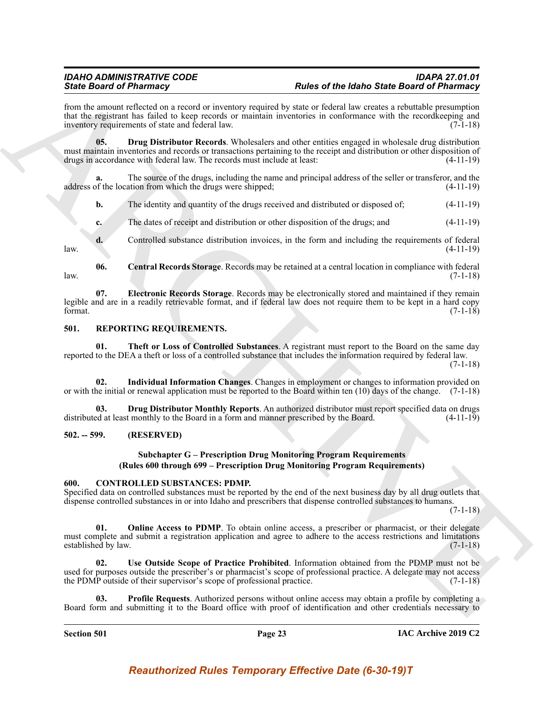from the amount reflected on a record or inventory required by state or federal law creates a rebuttable presumption that the registrant has failed to keep records or maintain inventories in conformance with the recordkeeping and inventory requirements of state and federal law. (7-1-18)

<span id="page-22-8"></span>**05. Drug Distributor Records**. Wholesalers and other entities engaged in wholesale drug distribution must maintain inventories and records or transactions pertaining to the receipt and distribution or other disposition of drugs in accordance with federal law. The records must include at least:  $(4-11-19)$ drugs in accordance with federal law. The records must include at least:

**a.** The source of the drugs, including the name and principal address of the seller or transferor, and the address of the location from which the drugs were shipped; (4-11-19)

**b.** The identity and quantity of the drugs received and distributed or disposed of;  $(4-11-19)$ 

<span id="page-22-7"></span>**c.** The dates of receipt and distribution or other disposition of the drugs; and  $(4-11-19)$ 

**d.** Controlled substance distribution invoices, in the form and including the requirements of federal (4-11-19) law. (4-11-19)

<span id="page-22-9"></span>**06. Central Records Storage**. Records may be retained at a central location in compliance with federal  $l$ aw.  $(7-1-18)$ 

Sink Book of Photomasy and weak of the same of the same of the book of the book of the forest Book of Photomasy and the same state is the same of the same of the same of the same of the same of the same of the same of the **07. Electronic Records Storage**. Records may be electronically stored and maintained if they remain legible and are in a readily retrievable format, and if federal law does not require them to be kept in a hard copy format.  $(7-1-18)$ 

### <span id="page-22-10"></span><span id="page-22-0"></span>**501. REPORTING REQUIREMENTS.**

<span id="page-22-13"></span>**01. Theft or Loss of Controlled Substances**. A registrant must report to the Board on the same day reported to the DEA a theft or loss of a controlled substance that includes the information required by federal law.

(7-1-18)

<span id="page-22-12"></span>**02. Individual Information Changes**. Changes in employment or changes to information provided on or with the initial or renewal application must be reported to the Board within ten (10) days of the change. (7-1-18)

**03. Drug Distributor Monthly Reports**. An authorized distributor must report specified data on drugs distributed at least monthly to the Board in a form and manner prescribed by the Board. (4-11-19)

### <span id="page-22-1"></span>**502. -- 599. (RESERVED)**

### <span id="page-22-11"></span><span id="page-22-3"></span>**Subchapter G – Prescription Drug Monitoring Program Requirements (Rules 600 through 699 – Prescription Drug Monitoring Program Requirements)**

### <span id="page-22-2"></span>**600. CONTROLLED SUBSTANCES: PDMP.**

Specified data on controlled substances must be reported by the end of the next business day by all drug outlets that dispense controlled substances in or into Idaho and prescribers that dispense controlled substances to humans.

(7-1-18)

<span id="page-22-4"></span>01. Online Access to PDMP. To obtain online access, a prescriber or pharmacist, or their delegate must complete and submit a registration application and agree to adhere to the access restrictions and limitations established by law. (7-1-18)

<span id="page-22-6"></span>**02. Use Outside Scope of Practice Prohibited**. Information obtained from the PDMP must not be used for purposes outside the prescriber's or pharmacist's scope of professional practice. A delegate may not access<br>the PDMP outside of their supervisor's scope of professional practice. (7-1-18) the PDMP outside of their supervisor's scope of professional practice.

<span id="page-22-5"></span>**03. Profile Requests**. Authorized persons without online access may obtain a profile by completing a Board form and submitting it to the Board office with proof of identification and other credentials necessary to

**Section 501 Page 23**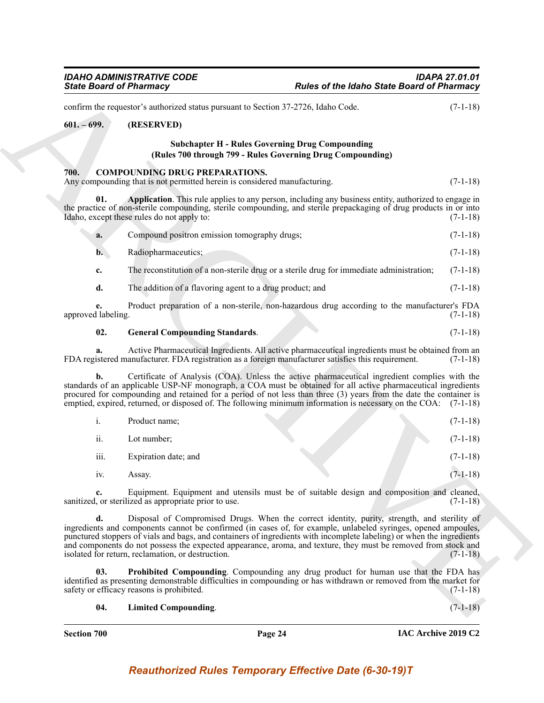<span id="page-23-2"></span><span id="page-23-1"></span><span id="page-23-0"></span>Since Board of Phiarmacy<br>
Since Board of Phiarmacy<br>
collainta the section of the basis of Phiarmacy<br>
collainter the substitute of the section of the section of the section of the section<br>
of the section of the section of confirm the requestor's authorized status pursuant to Section 37-2726, Idaho Code. (7-1-18) **601. – 699. (RESERVED) Subchapter H - Rules Governing Drug Compounding (Rules 700 through 799 - Rules Governing Drug Compounding) 700. COMPOUNDING DRUG PREPARATIONS.** Any compounding that is not permitted herein is considered manufacturing. (7-1-18) **01. Application**. This rule applies to any person, including any business entity, authorized to engage in the practice of non-sterile compounding, sterile compounding, and sterile prepackaging of drug products in or into Idaho, except these rules do not apply to:  $(7-1-18)$ **a.** Compound positron emission tomography drugs; (7-1-18) **b.** Radiopharmaceutics; (7-1-18) **c.** The reconstitution of a non-sterile drug or a sterile drug for immediate administration; (7-1-18) **d.** The addition of a flavoring agent to a drug product; and  $(7-1-18)$ 

<span id="page-23-3"></span>**e.** Product preparation of a non-sterile, non-hazardous drug according to the manufacturer's FDA approved labeling.

### <span id="page-23-4"></span>**02. General Compounding Standards**. (7-1-18)

**a.** Active Pharmaceutical Ingredients. All active pharmaceutical ingredients must be obtained from an FDA registered manufacturer. FDA registration as a foreign manufacturer satisfies this requirement. (7-1-18)

**b.** Certificate of Analysis (COA). Unless the active pharmaceutical ingredient complies with the standards of an applicable USP-NF monograph, a COA must be obtained for all active pharmaceutical ingredients procured for compounding and retained for a period of not less than three (3) years from the date the container is emptied, expired, returned, or disposed of. The following minimum information is necessary on the COA: (7-1-18)

| 1.   | Product name;        |  | $(7-1-18)$ |
|------|----------------------|--|------------|
| ii.  | Lot number;          |  | $(7-1-18)$ |
| iii. | Expiration date; and |  | $(7-1-18)$ |
| 1V.  | Assay.               |  | $(7-1-18)$ |

**c.** Equipment. Equipment and utensils must be of suitable design and composition and cleaned, sanitized, or sterilized as appropriate prior to use. (7-1-18)

**d.** Disposal of Compromised Drugs. When the correct identity, purity, strength, and sterility of ingredients and components cannot be confirmed (in cases of, for example, unlabeled syringes, opened ampoules, punctured stoppers of vials and bags, and containers of ingredients with incomplete labeling) or when the ingredients and components do not possess the expected appearance, aroma, and texture, they must be removed from stock and isolated for return, reclamation, or destruction. (7-1-18)

**03. Prohibited Compounding**. Compounding any drug product for human use that the FDA has identified as presenting demonstrable difficulties in compounding or has withdrawn or removed from the market for safety or efficacy reasons is prohibited. (7-1-18)

### <span id="page-23-6"></span><span id="page-23-5"></span>**04. Limited Compounding**. (7-1-18)

**Section 700 Page 24**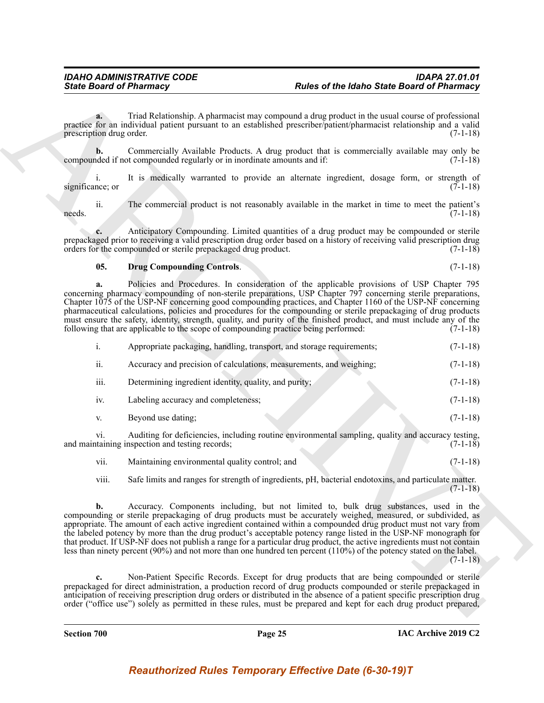**a.** Triad Relationship. A pharmacist may compound a drug product in the usual course of professional practice for an individual patient pursuant to an established prescriber/patient/pharmacist relationship and a valid prescription drug order. (7-1-18)

**b.** Commercially Available Products. A drug product that is commercially available may only be noted if not compounded regularly or in inordinate amounts and if:  $(7-1-18)$ compounded if not compounded regularly or in inordinate amounts and if:

i. It is medically warranted to provide an alternate ingredient, dosage form, or strength of significance; or (7-1-18)

ii. The commercial product is not reasonably available in the market in time to meet the patient's  $\text{needs.}$  (7-1-18)

**c.** Anticipatory Compounding. Limited quantities of a drug product may be compounded or sterile prepackaged prior to receiving a valid prescription drug order based on a history of receiving valid prescription drug orders for the compounded or sterile prepackaged drug product. (7-1-18) orders for the compounded or sterile prepackaged drug product.

#### <span id="page-24-0"></span>**05. Drug Compounding Controls**. (7-1-18)

**a.** Policies and Procedures. In consideration of the applicable provisions of USP Chapter 795 concerning pharmacy compounding of non-sterile preparations, USP Chapter 797 concerning sterile preparations, Chapter 1075 of the USP-NF concerning good compounding practices, and Chapter 1160 of the USP-NF concerning pharmaceutical calculations, policies and procedures for the compounding or sterile prepackaging of drug products must ensure the safety, identity, strength, quality, and purity of the finished product, and must include any of the

following that are applicable to the scope of compounding practice being performed: (7-1-18)

|  | Appropriate packaging, handling, transport, and storage requirements; | $(7-1-18)$ |
|--|-----------------------------------------------------------------------|------------|
|--|-----------------------------------------------------------------------|------------|

| Accuracy and precision of calculations, measurements, and weighing; |  | $(7-1-18)$ |
|---------------------------------------------------------------------|--|------------|
|                                                                     |  |            |

- iii. Determining ingredient identity, quality, and purity; (7-1-18) iv. Labeling accuracy and completeness; (7-1-18)
- v. Beyond use dating; (7-1-18)

vi. Auditing for deficiencies, including routine environmental sampling, quality and accuracy testing, and maintaining inspection and testing records; (7-1-18)

vii. Maintaining environmental quality control; and (7-1-18)

viii. Safe limits and ranges for strength of ingredients, pH, bacterial endotoxins, and particulate matter.  $(7-1-18)$ 

Since Board of Phiarmacy<br>
Since Board of Phiarmacy<br>
The Results and the Results and The Results and The Results and The Results and The Results and The Results and The Results and The Results and The Results and The Resul **b.** Accuracy. Components including, but not limited to, bulk drug substances, used in the compounding or sterile prepackaging of drug products must be accurately weighed, measured, or subdivided, as appropriate. The amount of each active ingredient contained within a compounded drug product must not vary from the labeled potency by more than the drug product's acceptable potency range listed in the USP-NF monograph for that product. If USP-NF does not publish a range for a particular drug product, the active ingredients must not contain less than ninety percent (90%) and not more than one hundred ten percent (110%) of the potency stated on the label.  $(7-1-18)$ 

**c.** Non-Patient Specific Records. Except for drug products that are being compounded or sterile prepackaged for direct administration, a production record of drug products compounded or sterile prepackaged in anticipation of receiving prescription drug orders or distributed in the absence of a patient specific prescription drug order ("office use") solely as permitted in these rules, must be prepared and kept for each drug product prepared,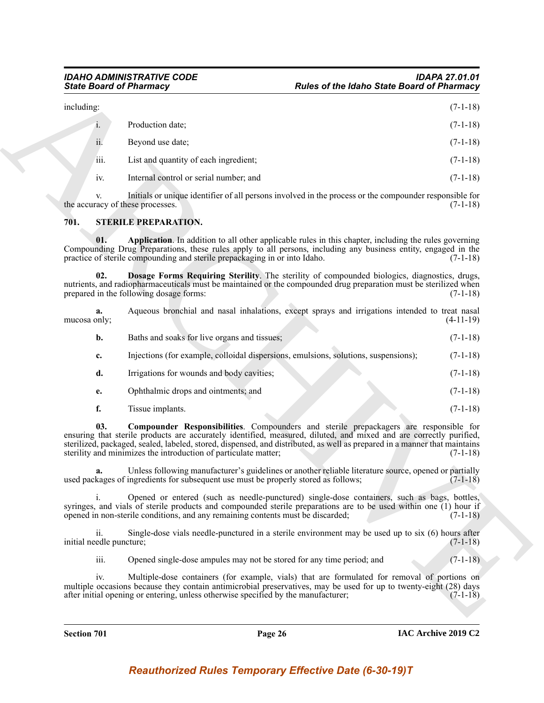|                | including:       |                                        | $(7-1-18)$ |
|----------------|------------------|----------------------------------------|------------|
| $\mathbf{i}$ . |                  | Production date;                       | $(7-1-18)$ |
|                | ii.              | Beyond use date;                       | $(7-1-18)$ |
|                | $\cdots$<br>111. | List and quantity of each ingredient;  | $(7-1-18)$ |
|                | 1V.              | Internal control or serial number; and | $(7-1-18)$ |

### <span id="page-25-4"></span><span id="page-25-3"></span><span id="page-25-2"></span><span id="page-25-1"></span><span id="page-25-0"></span>**701. STERILE PREPARATION.**

| <b>State Board of Pharmacy</b>  |                                                                                                                                                                                                                                                                                                                                                                                                             | <b>Rules of the Idaho State Board of Pharmacy</b> |
|---------------------------------|-------------------------------------------------------------------------------------------------------------------------------------------------------------------------------------------------------------------------------------------------------------------------------------------------------------------------------------------------------------------------------------------------------------|---------------------------------------------------|
| including:                      |                                                                                                                                                                                                                                                                                                                                                                                                             | $(7-1-18)$                                        |
| 1.                              | Production date;                                                                                                                                                                                                                                                                                                                                                                                            | $(7-1-18)$                                        |
| ii.                             | Beyond use date;                                                                                                                                                                                                                                                                                                                                                                                            | $(7-1-18)$                                        |
| iii.                            | List and quantity of each ingredient;                                                                                                                                                                                                                                                                                                                                                                       | $(7-1-18)$                                        |
| iv.                             | Internal control or serial number; and                                                                                                                                                                                                                                                                                                                                                                      | $(7-1-18)$                                        |
| V.                              | Initials or unique identifier of all persons involved in the process or the compounder responsible for<br>the accuracy of these processes.                                                                                                                                                                                                                                                                  | $(7-1-18)$                                        |
| 701.                            | <b>STERILE PREPARATION.</b>                                                                                                                                                                                                                                                                                                                                                                                 |                                                   |
| 01.                             | Application. In addition to all other applicable rules in this chapter, including the rules governing<br>Compounding Drug Preparations, these rules apply to all persons, including any business entity, engaged in the<br>practice of sterile compounding and sterile prepackaging in or into Idaho.                                                                                                       | $(7-1-18)$                                        |
| 02.                             | Dosage Forms Requiring Sterility. The sterility of compounded biologics, diagnostics, drugs,<br>nutrients, and radiopharmaceuticals must be maintained or the compounded drug preparation must be sterilized when<br>prepared in the following dosage forms:                                                                                                                                                | $(7-1-18)$                                        |
| a.<br>mucosa only;              | Aqueous bronchial and nasal inhalations, except sprays and irrigations intended to treat nasal                                                                                                                                                                                                                                                                                                              | $(4-11-19)$                                       |
| b.                              | Baths and soaks for live organs and tissues;                                                                                                                                                                                                                                                                                                                                                                | $(7-1-18)$                                        |
| c.                              | Injections (for example, colloidal dispersions, emulsions, solutions, suspensions);                                                                                                                                                                                                                                                                                                                         | $(7-1-18)$                                        |
| d.                              | Irrigations for wounds and body cavities;                                                                                                                                                                                                                                                                                                                                                                   | $(7-1-18)$                                        |
| е.                              | Ophthalmic drops and ointments; and                                                                                                                                                                                                                                                                                                                                                                         | $(7-1-18)$                                        |
| f.                              | Tissue implants.                                                                                                                                                                                                                                                                                                                                                                                            | $(7-1-18)$                                        |
| 03.                             | Compounder Responsibilities. Compounders and sterile prepackagers are responsible for<br>ensuring that sterile products are accurately identified, measured, diluted, and mixed and are correctly purified,<br>sterilized, packaged, sealed, labeled, stored, dispensed, and distributed, as well as prepared in a manner that maintains<br>sterility and minimizes the introduction of particulate matter; | $(7-1-18)$                                        |
|                                 | Unless following manufacturer's guidelines or another reliable literature source, opened or partially<br>used packages of ingredients for subsequent use must be properly stored as follows;                                                                                                                                                                                                                | $(7-1-18)$                                        |
| 1.                              | Opened or entered (such as needle-punctured) single-dose containers, such as bags, bottles,<br>syringes, and vials of sterile products and compounded sterile preparations are to be used within one (1) hour if<br>opened in non-sterile conditions, and any remaining contents must be discarded;                                                                                                         | $(7-1-18)$                                        |
| ii.<br>initial needle puncture; | Single-dose vials needle-punctured in a sterile environment may be used up to six (6) hours after                                                                                                                                                                                                                                                                                                           | $(7-1-18)$                                        |
| iii.                            | Opened single-dose ampules may not be stored for any time period; and                                                                                                                                                                                                                                                                                                                                       | $(7-1-18)$                                        |
| iv.                             | Multiple-dose containers (for example, vials) that are formulated for removal of portions on<br>multiple occasions because they contain antimicrobial preservatives, may be used for up to twenty-eight (28) days<br>after initial opening or entering, unless otherwise specified by the manufacturer;                                                                                                     | $(7-1-18)$                                        |
|                                 |                                                                                                                                                                                                                                                                                                                                                                                                             |                                                   |
|                                 |                                                                                                                                                                                                                                                                                                                                                                                                             |                                                   |

**Section 701 Page 26**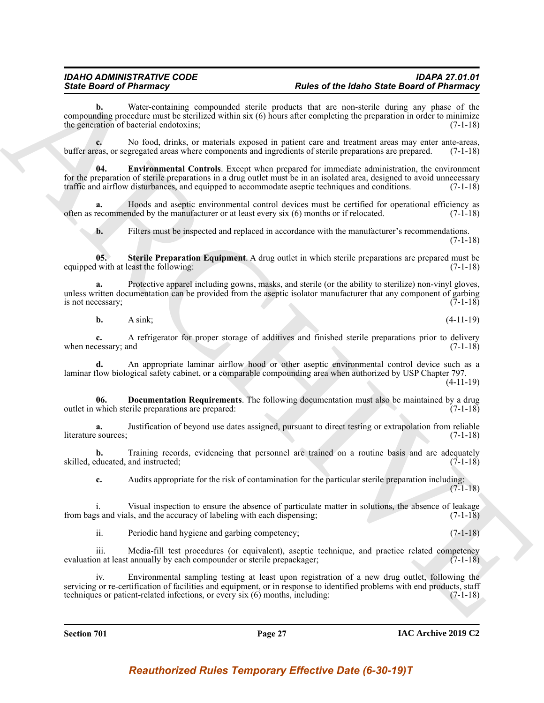Water-containing compounded sterile products that are non-sterile during any phase of the compounding procedure must be sterilized within six (6) hours after completing the preparation in order to minimize the generation of bacterial endotoxins; (7-1-18)

<span id="page-26-1"></span>**c.** No food, drinks, or materials exposed in patient care and treatment areas may enter ante-areas, buffer areas, or segregated areas where components and ingredients of sterile preparations are prepared. (7-1-18)

Since Board of Phinometrics, compressed with the contribution of Phinometrics and the other contribution of Phinometrics and the contribution of Phinometrics and the contribution of the same of Phinometrics and the same o **04. Environmental Controls**. Except when prepared for immediate administration, the environment for the preparation of sterile preparations in a drug outlet must be in an isolated area, designed to avoid unnecessary traffic and airflow disturbances, and equipped to accommodate aseptic techniques and conditions. (7-1-18)

Hoods and aseptic environmental control devices must be certified for operational efficiency as mded by the manufacturer or at least every six (6) months or if relocated. (7-1-18) often as recommended by the manufacturer or at least every  $\sin(6)$  months or if relocated.

<span id="page-26-2"></span>**b.** Filters must be inspected and replaced in accordance with the manufacturer's recommendations. (7-1-18)

**05. Sterile Preparation Equipment**. A drug outlet in which sterile preparations are prepared must be equipped with at least the following: (7-1-18)

**a.** Protective apparel including gowns, masks, and sterile (or the ability to sterilize) non-vinyl gloves, unless written documentation can be provided from the aseptic isolator manufacturer that any component of garbing is not necessary;  $(7-1-18)$ is not necessary;

**b.** A sink; (4-11-19)

**c.** A refrigerator for proper storage of additives and finished sterile preparations prior to delivery when necessary; and (7-1-18)

**d.** An appropriate laminar airflow hood or other aseptic environmental control device such as a laminar flow biological safety cabinet, or a comparable compounding area when authorized by USP Chapter 797. (4-11-19)

<span id="page-26-0"></span>**06. Documentation Requirements**. The following documentation must also be maintained by a drug which sterile preparations are prepared: (7-1-18) outlet in which sterile preparations are prepared:

**a.** Justification of beyond use dates assigned, pursuant to direct testing or extrapolation from reliable literature sources; (7-1-18)

**b.** Training records, evidencing that personnel are trained on a routine basis and are adequately skilled, educated, and instructed; (7-1-18)

**c.** Audits appropriate for the risk of contamination for the particular sterile preparation including:  $(7-1-18)$ 

i. Visual inspection to ensure the absence of particulate matter in solutions, the absence of leakage from bags and vials, and the accuracy of labeling with each dispensing; (7-1-18)

ii. Periodic hand hygiene and garbing competency; (7-1-18)

iii. Media-fill test procedures (or equivalent), aseptic technique, and practice related competency evaluation at least annually by each compounder or sterile prepackager; (7-1-18)

iv. Environmental sampling testing at least upon registration of a new drug outlet, following the servicing or re-certification of facilities and equipment, or in response to identified problems with end products, staff techniques or patient-related infections, or every six (6) months, including: (7-1-18)

**Section 701 Page 27**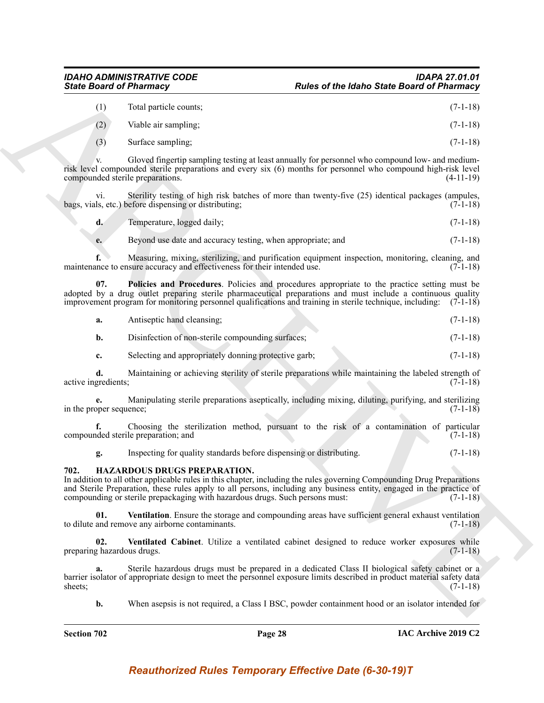### *IDAHO ADMINISTRATIVE CODE IDAPA 27.01.01*

| <b>State Board of Pharmacy</b>    |                                                                                                                                                                                                                                                                                                                                                                | <b>Rules of the Idaho State Board of Pharmacy</b>                                                                                                                                                                                                                                                                                    |             |
|-----------------------------------|----------------------------------------------------------------------------------------------------------------------------------------------------------------------------------------------------------------------------------------------------------------------------------------------------------------------------------------------------------------|--------------------------------------------------------------------------------------------------------------------------------------------------------------------------------------------------------------------------------------------------------------------------------------------------------------------------------------|-------------|
| (1)                               | Total particle counts;                                                                                                                                                                                                                                                                                                                                         |                                                                                                                                                                                                                                                                                                                                      | $(7-1-18)$  |
| (2)                               | Viable air sampling;                                                                                                                                                                                                                                                                                                                                           |                                                                                                                                                                                                                                                                                                                                      | $(7-1-18)$  |
| (3)                               | Surface sampling;                                                                                                                                                                                                                                                                                                                                              |                                                                                                                                                                                                                                                                                                                                      | $(7-1-18)$  |
|                                   | compounded sterile preparations.                                                                                                                                                                                                                                                                                                                               | Gloved fingertip sampling testing at least annually for personnel who compound low- and medium-<br>risk level compounded sterile preparations and every six (6) months for personnel who compound high-risk level                                                                                                                    | $(4-11-19)$ |
| $\overline{vi}$ .                 | bags, vials, etc.) before dispensing or distributing;                                                                                                                                                                                                                                                                                                          | Sterility testing of high risk batches of more than twenty-five (25) identical packages (ampules,                                                                                                                                                                                                                                    | $(7-1-18)$  |
| d.                                | Temperature, logged daily;                                                                                                                                                                                                                                                                                                                                     |                                                                                                                                                                                                                                                                                                                                      | $(7-1-18)$  |
| e.                                | Beyond use date and accuracy testing, when appropriate; and                                                                                                                                                                                                                                                                                                    |                                                                                                                                                                                                                                                                                                                                      | $(7-1-18)$  |
| f.                                | maintenance to ensure accuracy and effectiveness for their intended use.                                                                                                                                                                                                                                                                                       | Measuring, mixing, sterilizing, and purification equipment inspection, monitoring, cleaning, and                                                                                                                                                                                                                                     | $(7-1-18)$  |
| 07.                               |                                                                                                                                                                                                                                                                                                                                                                | Policies and Procedures. Policies and procedures appropriate to the practice setting must be<br>adopted by a drug outlet preparing sterile pharmaceutical preparations and must include a continuous quality<br>improvement program for monitoring personnel qualifications and training in sterile technique, including: $(7-1-18)$ |             |
| a.                                | Antiseptic hand cleansing;                                                                                                                                                                                                                                                                                                                                     |                                                                                                                                                                                                                                                                                                                                      | $(7-1-18)$  |
| b.                                | Disinfection of non-sterile compounding surfaces;                                                                                                                                                                                                                                                                                                              |                                                                                                                                                                                                                                                                                                                                      | $(7-1-18)$  |
| c.                                | Selecting and appropriately donning protective garb;                                                                                                                                                                                                                                                                                                           |                                                                                                                                                                                                                                                                                                                                      | $(7-1-18)$  |
| d.<br>active ingredients;         |                                                                                                                                                                                                                                                                                                                                                                | Maintaining or achieving sterility of sterile preparations while maintaining the labeled strength of                                                                                                                                                                                                                                 | $(7-1-18)$  |
| in the proper sequence;           |                                                                                                                                                                                                                                                                                                                                                                | Manipulating sterile preparations aseptically, including mixing, diluting, purifying, and sterilizing                                                                                                                                                                                                                                | $(7-1-18)$  |
|                                   | compounded sterile preparation; and                                                                                                                                                                                                                                                                                                                            | Choosing the sterilization method, pursuant to the risk of a contamination of particular                                                                                                                                                                                                                                             | $(7-1-18)$  |
| g.                                | Inspecting for quality standards before dispensing or distributing.                                                                                                                                                                                                                                                                                            |                                                                                                                                                                                                                                                                                                                                      | $(7-1-18)$  |
| 702.                              | HAZARDOUS DRUGS PREPARATION.<br>In addition to all other applicable rules in this chapter, including the rules governing Compounding Drug Preparations<br>and Sterile Preparation, these rules apply to all persons, including any business entity, engaged in the practice of<br>compounding or sterile prepackaging with hazardous drugs. Such persons must: |                                                                                                                                                                                                                                                                                                                                      | $(7-1-18)$  |
| 01.                               | to dilute and remove any airborne contaminants.                                                                                                                                                                                                                                                                                                                | Ventilation. Ensure the storage and compounding areas have sufficient general exhaust ventilation                                                                                                                                                                                                                                    | $(7-1-18)$  |
| 02.<br>preparing hazardous drugs. |                                                                                                                                                                                                                                                                                                                                                                | Ventilated Cabinet. Utilize a ventilated cabinet designed to reduce worker exposures while                                                                                                                                                                                                                                           | $(7-1-18)$  |
| a.<br>sheets;                     |                                                                                                                                                                                                                                                                                                                                                                | Sterile hazardous drugs must be prepared in a dedicated Class II biological safety cabinet or a<br>barrier isolator of appropriate design to meet the personnel exposure limits described in product material safety data                                                                                                            | $(7-1-18)$  |
| b.                                | When asepsis is not required, a Class I BSC, powder containment hood or an isolator intended for                                                                                                                                                                                                                                                               |                                                                                                                                                                                                                                                                                                                                      |             |

<span id="page-27-4"></span>

| Antiseptic hand cleansing;<br>а. | $(7-1-18)$ |
|----------------------------------|------------|
|----------------------------------|------------|

### <span id="page-27-3"></span><span id="page-27-2"></span><span id="page-27-1"></span><span id="page-27-0"></span>**702. HAZARDOUS DRUGS PREPARATION.**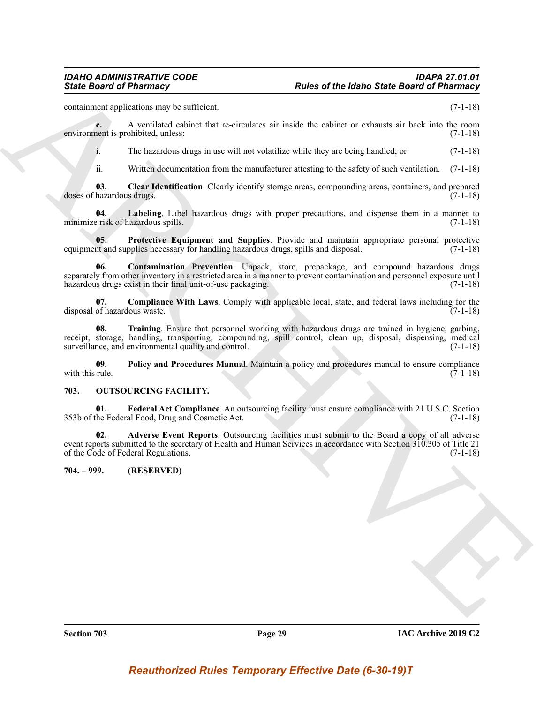containment applications may be sufficient. (7-1-18)

**c.** A ventilated cabinet that re-circulates air inside the cabinet or exhausts air back into the room environment is prohibited, unless: (7-1-18)

i. The hazardous drugs in use will not volatilize while they are being handled; or (7-1-18)

<span id="page-28-5"></span><span id="page-28-2"></span>ii. Written documentation from the manufacturer attesting to the safety of such ventilation. (7-1-18)

**03. Clear Identification**. Clearly identify storage areas, compounding areas, containers, and prepared doses of hazardous drugs. (7-1-18)

**04. Labeling**. Label hazardous drugs with proper precautions, and dispense them in a manner to minimize risk of hazardous spills. (7-1-18)

<span id="page-28-7"></span>**05. Protective Equipment and Supplies**. Provide and maintain appropriate personal protective intends upplies necessary for handling hazardous drugs, spills and disposal. (7-1-18) equipment and supplies necessary for handling hazardous drugs, spills and disposal.

<span id="page-28-4"></span>**06. Contamination Prevention**. Unpack, store, prepackage, and compound hazardous drugs separately from other inventory in a restricted area in a manner to prevent contamination and personnel exposure until hazardous drugs exist in their final unit-of-use packaging. (7-1-18)

<span id="page-28-8"></span><span id="page-28-3"></span>**07. Compliance With Laws**. Comply with applicable local, state, and federal laws including for the disposal of hazardous waste. (7-1-18)

Since Board of Phismacy<br>
Since Board of Phismacy<br>
containing and the second of the basis of the data of the column of the basis of Phismacy<br>
containing the second of the second of the column of the column of the column of **08. Training**. Ensure that personnel working with hazardous drugs are trained in hygiene, garbing, receipt, storage, handling, transporting, compounding, spill control, clean up, disposal, dispensing, medical surveillance, and environmental quality and control. (7-1-18)

<span id="page-28-6"></span>**09.** Policy and Procedures Manual. Maintain a policy and procedures manual to ensure compliance with this rule. (7-1-18) with this rule.  $(7-1-18)$ 

### <span id="page-28-9"></span><span id="page-28-0"></span>**703. OUTSOURCING FACILITY.**

<span id="page-28-11"></span>**01. Federal Act Compliance**. An outsourcing facility must ensure compliance with 21 U.S.C. Section 353b of the Federal Food, Drug and Cosmetic Act. (7-1-18)

<span id="page-28-10"></span>**02. Adverse Event Reports**. Outsourcing facilities must submit to the Board a copy of all adverse event reports submitted to the secretary of Health and Human Services in accordance with Section 310.305 of Title 21 of the Code of Federal Regulations.

<span id="page-28-1"></span>**704. – 999. (RESERVED)**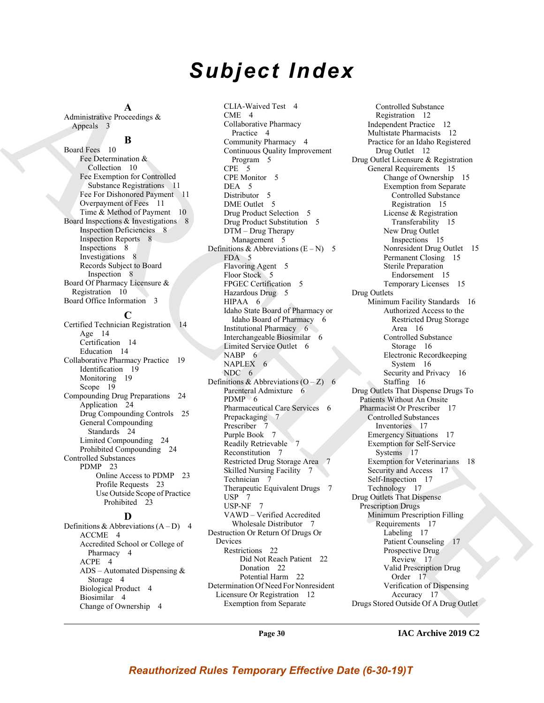### *Subject Index*

**A** Administrative Proceedings & Appeals 3

### **B**

Board Fees 10 Fee Determination & Collection 10 Fee Exemption for Controlled Substance Registrations 11 Fee For Dishonored Payment 11 Overpayment of Fees 11 Time & Method of Payment 10 Board Inspections & Investigations 8 Inspection Deficiencies 8 Inspection Reports 8 Inspections 8 Investigations 8 Records Subject to Board Inspection 8 Board Of Pharmacy Licensure & Registration 10 Board Office Information 3

### **C**

Certified Technician Registration 14 Age 14 Certification 14 Education 14 Collaborative Pharmacy Practice 19 Identification 19 Monitoring 19 Scope 19 Compounding Drug Preparations 24 Application 24 Drug Compounding Controls 25 General Compounding Standards 24 Limited Compounding 24 Prohibited Compounding 24 Controlled Substances PDMP 23 Online Access to PDMP 23 Profile Requests 23 Use Outside Scope of Practice Prohibited 23

### **D**

Definitions & Abbreviations  $(A - D)$  4 ACCME 4 Accredited School or College of Pharmacy 4 ACPE 4 ADS – Automated Dispensing  $&$ Storage 4 Biological Product 4 Biosimilar 4 Change of Ownership 4

[A](#page-2-8)dministration control (Marchives of the Cole of the Cole of the Cole of the Cole of the Cole of the Cole of the Cole of the Cole of the Cole of the Cole of the Cole of the Cole of the Cole of the Cole of the Cole of the CLIA-Waived Test 4 CME 4 Collaborative Pharmacy Practice 4 Community Pharmacy 4 Continuous Quality Improvement Program 5 CPE 5 CPE Monitor 5 DEA 5 Distributor 5 DME Outlet 5 Drug Product Selection 5 Drug Product Substitution 5 DTM – Drug Therapy Management 5 Definitions & Abbreviations  $(E - N)$  5 FDA 5 Flavoring Agent 5 Floor Stock 5 FPGEC Certification 5 Hazardous Drug 5 HIPAA 6 Idaho State Board of Pharmacy or Idaho Board of Pharmacy 6 Institutional Pharmacy 6 Interchangeable Biosimilar 6 Limited Service Outlet 6 NABP<sub>6</sub> NAPLEX 6 NDC 6 Definitions & Abbreviations  $(O - Z)$  6 Parenteral Admixture 6  $PDMP - 6$ Pharmaceutical Care Services 6 Prepackaging 7 Prescriber Purple Book 7 Readily Retrievable Reconstitution 7 Restricted Drug Storage Area 7 Skilled Nursing Facility 7 Technician 7 Therapeutic Equivalent Drugs 7  $USP$  7 USP-NF 7 VAWD – Verified Accredited Wholesale Distributor 7 Destruction Or Return Of Drugs Or Devices Restrictions 22 Did Not Reach Patient 22 Donation 22 Potential Harm 22

Determination Of Need For Nonresident Licensure Or Registration 12 Exemption from Separate

Controlled Substance Registration 12 Independent Practice 12 Multistate Pharmacists 12 Practice for an Idaho Registered Drug Outlet 12 Drug Outlet Licensure & Registration General Requirements 15 Change of Ownership 15 Exemption from Separate Controlled Substance Registration 15 License & Registration Transferability 15 New Drug Outlet Inspections 15 Nonresident Drug Outlet 15 Permanent Closing 15 Sterile Preparation Endorsement 15 Temporary Licenses 15 Drug Outlets Minimum Facility Standards 16 Authorized Access to the Restricted Drug Storage Area 16 Controlled Substance Storage 16 Electronic Recordkeeping System 16 Security and Privacy 16 Staffing 16 Drug Outlets That Dispense Drugs To Patients Without An Onsite Pharmacist Or Prescriber 17 Controlled Substances Inventories 17 Emergency Situations 17 Exemption for Self-Service Systems 17 Exemption for Veterinarians 18 Security and Access 17 Self-Inspection 17 Technology 17 Drug Outlets That Dispense Prescription Drugs Minimum Prescription Filling Requirements 17 Labeling 17 Patient Counseling 17 Prospective Drug Review 17 Valid Prescription Drug Order 17 Verification of Dispensing Accuracy 17 Drugs Stored Outside Of A Drug Outlet

**Page 30**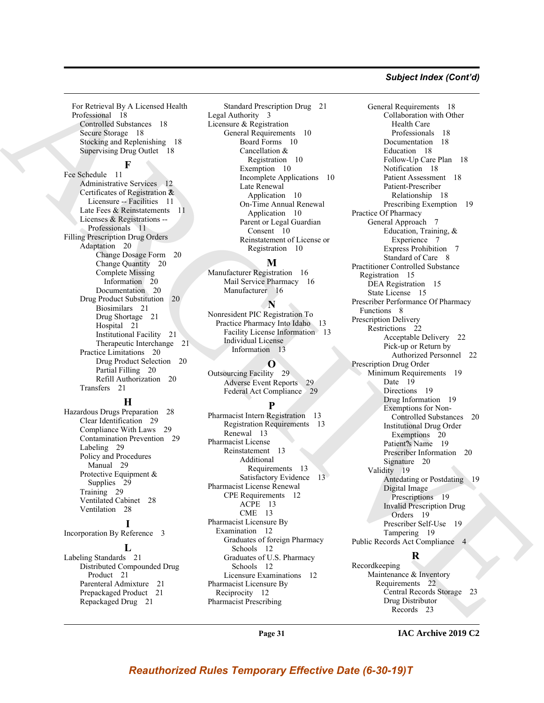### *Subject Index (Cont'd)*

For Retrieval By A Licensed Health Professional 18 Controlled Substances 18 Secure Storage 18 Stocking and Replenishing 18 Supervising Drug Outlet 18

### **F**

Fee Schedule 11 Administrative Services 12 Certificates of Registration ?& Licensure -- Facilities 11 Late Fees & Reinstatements 11 Licenses & Registrations -- Professionals 11 Filling Prescription Drug Orders Adaptation 20 Change Dosage Form 20 Change Quantity 20 Complete Missing Information 20 Documentation 20 Drug Product Substitution 20 Biosimilars 21 Drug Shortage 21 Hospital 21 Institutional Facility 21 Therapeutic Interchange 21 Practice Limitations 20 Drug Product Selection 20 Partial Filling 20 Refill Authorization 20 Transfers 21

### **H**

Hazardous Drugs Preparation 28 Clear Identification 29 Compliance With Laws 29 Contamination Prevention 29 Labeling 29 Policy and Procedures Manual 29 Protective Equipment & Supplies 29 Training 29 Ventilated Cabinet 28 Ventilation 28

### **I**

Incorporation By Reference 3

### **L**

Labeling Standards 21 Distributed Compounded Drug Product 21 Parenteral Admixture 21 Prepackaged Product 21 Repackaged Drug 21

Standard Prescription Drug 21 Legal Authority 3 Licensure & Registration General Requirements 10 Board Forms 10 Cancellation & Registration 10 Exemption 10 Incomplete Applications 10 Late Renewal Application 10 On-Time Annual Renewal Application 10 Parent or Legal Guardian Consent 10 Reinstatement of License or Registration 10

#### **M**

Manufacturer Registration 16 Mail Service Pharmacy 16 Manufacturer 16

### **N**

Nonresident PIC Registration To Practice Pharmacy Into Idaho 13 Facility License Information 13 Individual License Information 13

### **O**

Outsourcing Facility 29 Adverse Event Reports 29 Federal Act Compliance 29

### **P**

Pharmacist Intern Registration 13 Registration Requirements 13 Renewal 13 Pharmacist License Reinstatement 13 Additional Requirements 13 Satisfactory Evidence 13 Pharmacist License Renewal CPE Requirements 12 ACPE 13 CME 13 Pharmacist Licensure By Examination 12 Graduates of foreign Pharmacy Schools 12 Graduates of U.S. Pharmacy Schools 12 Licensure Examinations 12 Pharmacist Licensure By Reciprocity 12 Pharmacist Prescribing

[A](#page-17-4)[R](#page-10-5)[C](#page-9-15)[H](#page-12-3)[I](#page-19-13)[V](#page-19-14)[E](#page-18-17) General Requirements 18 Collaboration with Other Health Care Professionals 18 Documentation 18 Education 18 Follow-Up Care Plan 18 Notification 18 Patient Assessment 18 Patient-Prescriber Relationship 18 Prescribing Exemption 19 Practice Of Pharmacy General Approach 7 Education, Training, & Experience 7 Express Prohibition 7 Standard of Care 8 Practitioner Controlled Substance Registration 15 DEA Registration 15 State License 15 Prescriber Performance Of Pharmacy Functions 8 Prescription Delivery Restrictions 22 Acceptable Delivery 22 Pick-up or Return by Authorized Personnel 22 Prescription Drug Order Minimum Requirements 19 Date 19 Directions 19 Drug Information 19 Exemptions for Non-Controlled Substances 20 Institutional Drug Order Exemptions 20 Patient?'s Name 19 Prescriber Information 20 Signature 20 Validity 19 Antedating or Postdating 19 Digital Image Prescriptions 19 Invalid Prescription Drug Orders 19 Prescriber Self-Use 19 Tampering 19 Public Records Act Compliance 4

### **R**

Recordkeeping Maintenance & Inventory Requirements 22 Central Records Storage 23 Drug Distributor Records 23

**Page 31**